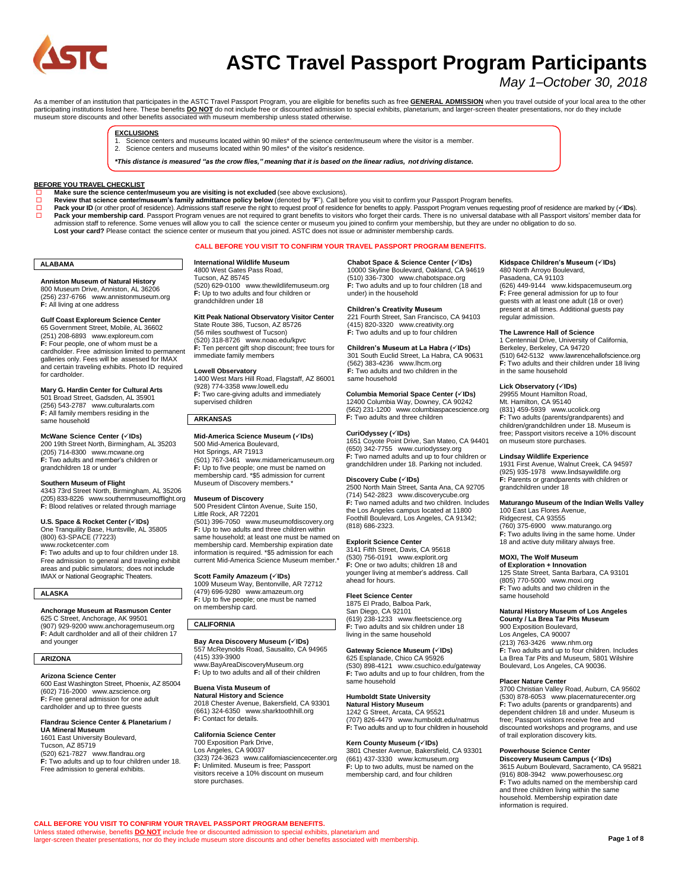

# **ASTC Travel Passport Program Participants**

# *May 1–October 30, 2018*

As a member of an institution that participates in the ASTC Travel Passport Program, you are eligible for benefits such as free <u>GENERAL ADMISSION</u> when you travel outside of your local area to the other<br>participating inst museum store discounts and other benefits associated with museum membership unless stated otherwise.

#### **EXCLUSIONS**

- Science centers and museums located within 90 miles\* of the science center/museum where the visitor is a member.
- 2. Science centers and museums located within 90 miles\* of the visitor's residence.

\*This distance is measured "as the crow flies." meaning that it is based on the linear radius, not driving distance.

#### **BEFORE YOU TRAVEL CHECKLIST**

- 
- ם Make sure the science center/museum you are visiting is not excluded (see above exclusions).<br>◘ Review that science center/museum's family admittance policy below (denoted by "F"). Call before you visit to confirm your
- □ **Pack your membership card**. Passport Program venues are not required to grant benefits to visitors who forget their cards. There is no universal database with all Passport visitors' member data for<br>admission staff to r Lost your card? Please contact the science center or museum that you joined. ASTC does not issue or administer membership cards.

#### **CALL BEFORE YOU VISIT TO CONFIRM YOUR TRAVEL PASSPORT PROGRAM BENEFITS.**

#### **ALABAMA**

**Anniston Museum of Natural History** 800 Museum Drive, Anniston, AL 36206 (256) 237-6766 [www.annistonmuseum.org](http://www.annistonmuseum.org/) **F:** All living at one address

#### **Gulf Coast Exploreum Science Center**

65 Government Street, Mobile, AL 36602 (251) 208-6893 [www.exploreum.com](http://www.exploreum.com/) **F:** Four people, one of whom must be a cardholder. Free admission limited to permanent galleries only. Fees will be assessed for IMAX and certain traveling exhibits. Photo ID required for cardholder.

**Mary G. Hardin Center for Cultural Arts** 501 Broad Street, Gadsden, AL 35901 (256) 543-2787 [www.culturalarts.com](http://www.culturalarts.com/) **F:** All family members residing in the same household

#### **McWane Science Center (IDs)**

200 19th Street North, Birmingham, AL 35203 (205) 714-8300 [www.mcwane.org](http://www.mcwane.org/) **F:** Two adults and member's children or grandchildren 18 or under

#### **Southern Museum of Flight**

4343 73rd Street North, Birmingham, AL 35206 (205) 833-8226 [www.southernmuseumofflight.org](http://www.southernmuseumofflight.org/) **F:** Blood relatives or related through marriage

# **U.S. Space & Rocket Center (IDs)** One Tranquility Base, Huntsville, AL 35805 (800) 63-SPACE (77223)

ww[w.rocketcenter.com](http://rocketcenter.com/) **F:** Two adults and up to four children under 18. Free admission to general and traveling exhibit areas and public simulators; does not include IMAX or National Geographic Theaters.

#### **ALASKA**

**Anchorage Museum at Rasmuson Center** 625 C Street, Anchorage, AK 99501 (907) 929-920[0 www.anchoragemuseum.org](http://www.anchoragemuseum.org/)

**F:** Adult cardholder and all of their children 17 and younger

#### **ARIZONA**

**Arizona Science Center**

600 East Washington Street, Phoenix, AZ 85004 (602) 716-2000 [www.azscience.org](http://www.azscience.org/) **F:** Free general admission for one adult cardholder and up to three guests

#### **Flandrau Science Center & Planetarium /**

**UA Mineral Museum** 1601 East University Boulevard, Tucson, AZ 85719 (520) 621-7827 [www.flandrau.org](http://www.flandrau.org/) **F:** Two adults and up to four children under 18. Free admission to general exhibits.

**International Wildlife Museum** 4800 West Gates Pass Road, Tucson, AZ 85745 (520) 629-0100 [www.thewildlifemuseum.org](http://www.thewildlifemuseum.org/) **F:** Up to two adults and four children or grandchildren under 18

**Kitt Peak National Observatory Visitor Center** State Route 386, Tucson, AZ 85726 State Froate Sect, Facebrit, Fig. 53 (520) 318-8726 [www.noao.edu/kpvc](http://www.noao.edu/kpvc/)

**F:** Ten percent gift shop discount; free tours for immediate family members

# **Lowell Observatory** 1400 West Mars Hill Road, Flagstaff, AZ 86001

(928) 774-335[8 www.lowell.edu](http://www.lowell.edu/) **F:** Two care-giving adults and immediately supervised children

#### **ARKANSAS**

# **Mid-America Science Museum (√IDs)**

500 Mid-America Boulevard, Hot Springs, AR 71913 (501) 767-3461 [www.midamericamuseum.org](http://www.midamericamuseum.org/) **F:** Up to five people; one must be named on membership card. \*\$5 admission for current Museum of Discovery members.\*

#### **Museum of Discovery**

500 President Clinton Avenue, Suite 150, Little Rock, AR 72201 (501) 396-7050 [www.museumofdiscovery.org](http://www.museumofdiscovery.org/) **F:** Up to two adults and three children within same household; at least one must be named on membership card. Membership expiration date information is required. \*\$5 admission for each current Mid-America Science Museum member.\*

#### **Scott Family Amazeum (IDs)**

1009 Museum Way, Bentonville, AR 72712 (479) 696-9280 [www.amazeum.org](http://www.amazeum.org/) **F:** Up to five people; one must be named on membership card.

### **CALIFORNIA**

### **Bay Area Discovery Museum (IDs)**

557 McReynolds Road, Sausalito, CA 94965 (415) 339-3900 [www.BayAreaDiscoveryMuseum.org](http://www.bayareadiscoverymuseum.org/)

**F:** Up to two adults and all of their children

#### **Buena Vista Museum of**

**Natural History and Science** 2018 Chester Avenue, Bakersfield, CA 93301 (661) 324-6350 [www.sharktoothhill.org](http://www.sharktoothhill.org/) **F:** Contact for details.

#### **California Science Center**

700 Exposition Park Drive, Los Angeles, CA 90037 (323) 724-3623 [www.californiasciencecenter.org](http://www.californiasciencecenter.org/) **F:** Unlimited. Museum is free; Passport visitors receive a 10% discount on museum store purchases.

**Chabot Space & Science Center (IDs)**

10000 Skyline Boulevard, Oakland, CA 94619 (510) 336-7300 [www.chabotspace.org](http://www.chabotspace.org/) **F:** Two adults and up to four children (18 and under) in the household

#### **Children's Creativity Museum**

221 Fourth Street, San Francisco, CA 94103 (415) 820-3320 [www.creativity.org](http://www.creativity.org/) **F:** Two adults and up to four children

**Children's Museum at La Habra (IDs)**

#### 301 South Euclid Street, La Habra, CA 90631 (562) 383-4236 [www.lhcm.org](http://www.lhcm.org/) **F:** Two adults and two children in the same household

**Columbia Memorial Space Center (IDs)** 12400 Columbia Way, Downey, CA 90242 (562) 231-1200 [www.columbiaspacescience.org](http://www.columbiaspacescience.org/) **F:** Two adults and three children

#### **CuriOdyssey (IDs)**

1651 Coyote Point Drive, San Mateo, CA 94401 (650) 342-7755 [www.curiodyssey.org](http://www.curiodyssey.org/) **F:** Two named adults and up to four children or grandchildren under 18. Parking not included.

**Discovery Cube (IDs)** 2500 North Main Street, Santa Ana, CA 92705 (714) 542-2823 [www.discoverycube.org](http://www.discoverycube.org/) **F:** Two named adults and two children. Includes the Los Angeles campus located at 11800 Foothill Boulevard, Los Angeles, CA 91342; (818) 686-2323.

#### **Explorit Science Center**

3141 Fifth Street, Davis, CA 95618 (530) 756-0191 [www.explorit.org](http://www.explorit.org/) **F:** One or two adults; children 18 and younger living at member's address. Call ahead for hours.

#### **Fleet Science Center** 1875 El Prado, Balboa Park,

San Diego, CA 92101 (619) 238-1233 [www.fleetscience.org](http://www.fleetscience.org/) **F:** Two adults and six children under 18 living in the same household

#### **Gateway Science Museum (IDs)**

625 Esplanade, Chico CA 95926 (530) 898-4121 [www.csuchico.edu/gateway](http://www.csuchico.edu/gateway) **F:** Two adults and up to four children, from the same household

#### **Humboldt State University**

**Natural History Museum** 1242 G Street, Arcata, CA 95521 (707) 826-4479 [www.humboldt.edu/natmus](http://www.humboldt.edu/natmus) **F:** Two adults and up to four children in household

#### **Kern County Museum (IDs)**

3801 Chester Avenue, Bakersfield, CA 93301 (661) 437-3330 [www.kcmuseum.org](http://www.kcmuseum.org/) **F:** Up to two adults, must be named on the membership card, and four children

#### **Kidspace Children's Museum (IDs)** 480 North Arroyo Boulevard, Pasadena, CA 91103 (626) 449-9144 [www.kidspacemuseum.org](http://www.kidspacemuseum.org/) **F:** Free general admission for up to four guests with at least one adult (18 or over) present at all times. Additional guests pay regular admission.

**The Lawrence Hall of Science** 1 Centennial Drive, University of California, Berkeley, Berkeley, CA 94720 (510) 642-5132 [www.lawrencehallofscience.org](http://www.lawrencehallofscience.org/) **F:** Two adults and their children under 18 living in the same household

#### **Lick Observatory (IDs)**

29955 Mount Hamilton Road, Mt. Hamilton, CA 95140 (831) 459-5939 [www.ucolick.org](http://www.ucolick.org/) **F:** Two adults (parents/grandparents) and children/grandchildren under 18. Museum is free; Passport visitors receive a 10% discount on museum store purchases.

#### **Lindsay Wildlife Experience**

1931 First Avenue, Walnut Creek, CA 94597 (925) 935-1978 [www.lindsaywildlife.org](http://www.lindsaywildlife.org/) **F:** Parents or grandparents with children or grandchildren under 18

# **Maturango Museum of the Indian Wells Valley<br>100 East Las Flores Avenue,**

Ridgecrest, CA 93555 (760) 375-6900 ww[w.maturango.org](http://maturango.org/) **F:** Two adults living in the same home. Under 18 and active duty military always free.

#### **MOXI, The Wolf Museum**

**of Exploration + Innovation** 125 State Street, Santa Barbara, CA 93101 (805) 770-5000 [www.moxi.org](http://www.moxi.org/) **F:** Two adults and two children in the same household

#### **Natural History Museum of Los Angeles County / La Brea Tar Pits Museum**

900 Exposition Boulevard, Los Angeles, CA 90007 (213) 763-3426 [www.nhm.org](http://www.nhm.org/) **F:** Two adults and up to four children. Includes La Brea Tar Pits and Museum, 5801 Wilshire Boulevard, Los Angeles, CA 90036.

#### **Placer Nature Center**

3700 Christian Valley Road, Auburn, CA 95602 (530) 878-6053 [www.placernaturecenter.org](http://www.placernaturecenter.org/) **F:** Two adults (parents or grandparents) and dependent children 18 and under. Museum is free; Passport visitors receive free and discounted workshops and programs, and use of trail exploration discovery kits.

#### **Powerhouse Science Center**

**Discovery Museum Campus (IDs)** 3615 Auburn Boulevard, Sacramento, CA 95821 (916) 808-3942 [www.powerhousesc.org](http://powerhousesc.org/) **F:** Two adults named on the membership card and three children living within the same household. Membership expiration date information is required.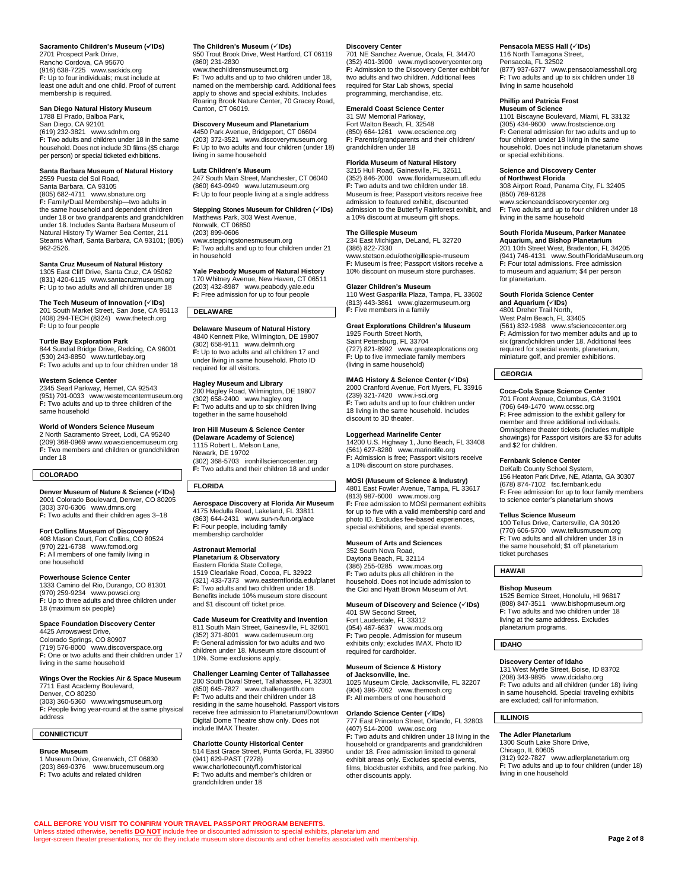#### **Sacramento Children's Museum (IDs)** 2701 Prospect Park Drive,

Rancho Cordova, CA 95670 (916) 638-7225 [www.sackids.org](http://www.sackids.org/) **F:** Up to four individuals; must include at least one adult and one child. Proof of current membership is required.

# **San Diego Natural History Museum** 1788 El Prado, Balboa Park,

San Diego, CA 92101 (619) 232-3821 [www.sdnhm.org](http://www.sdnhm.org/) **F:** Two adults and children under 18 in the same household. Does not include 3D films (\$5 charge per person) or special ticketed exhibitions.

# **Santa Barbara Museum of Natural History** 2559 Puesta del Sol Road,

Santa Barbara, CA 93105 (805) 682-4711 [www.sbnature.org](http://www.sbnature.org/) **F:** Family/Dual Membership—two adults in the same household and dependent children under 18 or two grandparents and grandchildren under 18. Includes Santa Barbara Museum of Natural History Ty Warner Sea Center, 211 Stearns Wharf, Santa Barbara, CA 93101; (805) 962-2526.

# **Santa Cruz Museum of Natural History** 1305 East Cliff Drive, Santa Cruz, CA 95062

(831) 420-6115 [www.santacruzmuseum.org](http://www.santacruzmuseum.org/) **F:** Up to two adults and all children under 18

**The Tech Museum of Innovation (IDs)**

201 South Market Street, San Jose, CA 95113 (408) 294-TECH (8324) [www.thetech.org](http://www.thetech.org/) **F:** Up to four people

#### **Turtle Bay Exploration Park**

844 Sundial Bridge Drive, Redding, CA 96001 (530) 243-8850 [www.turtlebay.org](http://www.turtlebay.org/) **F:** Two adults and up to four children under 18

#### **Western Science Center**

2345 Searl Parkway, Hemet, CA 92543 (951) 791-0033 [www.westerncentermuseum.org](http://www.westerncentermuseum.org/) **F:** Two adults and up to three children of the same household

#### **World of Wonders Science Museum**

2 North Sacramento Street, Lodi, CA 95240 (209) 368-096[9 www.wowsciencemuseum.org](http://www.wowsciencemuseum.org/) **F:** Two members and children or grandchildren under 18

### **COLORADO**

**Denver Museum of Nature & Science (IDs)** 2001 Colorado Boulevard, Denver, CO 80205 (303) 370-6306 [www.dmns.org](http://www.dmns.org/) **F:** Two adults and their children ages 3–18

# **Fort Collins Museum of Discovery**

408 Mason Court, Fort Collins, CO 80524 (970) 221-6738 [www.fcmod.org](http://www.fcmod.org/) **F:** All members of one family living in one household

#### **Powerhouse Science Center**

1333 Camino del Rio, Durango, CO 81301 (970) 259-9234 [www.powsci.org](http://www.powsci.org/) **F:** Up to three adults and three children under 18 (maximum six people)

#### **Space Foundation Discovery Center**

4425 Arrowswest Drive, Colorado Springs, CO 80907 (719) 576-8000 [www.discoverspace.org](https://www.discoverspace.org/) **F:** One or two adults and their children under 17 living in the same household

# **Wings Over the Rockies Air & Space Museum** 7711 East Academy Boulevard,

Denver, CO 80230 (303) 360-5360 [www.wingsmuseum.org](http://www.wingsmuseum.org/) **F:** People living year-round at the same physical address

#### **CONNECTICUT**

#### **Bruce Museum**

1 Museum Drive, Greenwich, CT 06830 (203) 869-0376 [www.brucemuseum.org](http://www.brucemuseum.org/) **F:** Two adults and related children

**CALL BEFORE YOU VISIT TO CONFIRM YOUR TRAVEL PASSPORT PROGRAM BENEFITS.**

Unless stated otherwise, benefits **DO NOT** include free or discounted admission to special exhibits, planetarium and larger-screen theater presentations, nor do they include museum store discounts and other benefits associated with membership.

# **The Children's Museum (IDs)** 950 Trout Brook Drive, West Hartford, CT 06119 (860) 231-2830

[www.thechildrensmuseumct.org](http://www.thechildrensmuseumct.org/) **F:** Two adults and up to two children under 18, named on the membership card. Additional fees apply to shows and special exhibits. Includes Roaring Brook Nature Center, 70 Gracey Road, Canton, CT 06019

### **Discovery Museum and Planetarium**

4450 Park Avenue, Bridgeport, CT 06604 (203) 372-3521 [www.discoverymuseum.org](http://www.discoverymuseum.org/) **F:** Up to two adults and four children (under 18) living in same household

#### **Lutz Children's Museum**

247 South Main Street, Manchester, CT 06040 (860) 643-0949 [www.lutzmuseum.org](http://www.lutzmuseum.org/) **F:** Up to four people living at a single address

#### **Stepping Stones Museum for Children (IDs)** Matthews Park, 303 West Avenue,

Norwalk, CT 06850 (203) 899-0606 [www.steppingstonesmuseum.org](http://www.steppingstonesmuseum.org/) **F:** Two adults and up to four children under 21 in household

# **Yale Peabody Museum of Natural History**

170 Whitney Avenue, New Haven, CT 06511 (203) 432-8987 [www.peabody.yale.edu](http://www.peabody.yale.edu/) **F:** Free admission for up to four people

# **DELAWARE**

**Delaware Museum of Natural History** 4840 Kennett Pike, Wilmington, DE 19807 (302) 658-9111 [www.delmnh.org](http://www.delmnh.org/) **F:** Up to two adults and all children 17 and under living in same household. Photo ID required for all visitors.

**Hagley Museum and Library**<br>200 Hagley Road, Wilmington, DE 19807<br>(302) 658-2400 [www.hagley.org](http://www.hagley.org/)<br>**F:** Two adults and up to six children living together in the same household

#### **Iron Hill Museum & Science Center (Delaware Academy of Science)** 1115 Robert L. Melson Lane, Newark, DE 19702

(302) 368-5703 [ironhillsciencecenter.org](http://ironhillsciencecenter.org/) **F:** Two adults and their children 18 and under

### **FLORIDA**

**Aerospace Discovery at Florida Air Museum** 4175 Medulla Road, Lakeland, FL 33811 (863) 644-2431 [www.sun-n-fun.org/ace](http://www.sun-n-fun.org/ace) **F:** Four people, including family membership cardholder

# **Astronaut Memorial**

10%. Some exclusions apply.

**Planetarium & Observatory** Eastern Florida State College, 1519 Clearlake Road, Cocoa, FL 32922 (321) 433-7373 [www.easternflorida.edu/planet](http://www.easternflorida.edu/planet) **F:** Two adults and two children under 18. Benefits include 10% museum store discount and \$1 discount off ticket price.

#### **Cade Museum for Creativity and Invention** 811 South Main Street, Gainesville, FL 32601 (352) 371-8001 [www.cademuseum.org](http://www.cademuseum.org/) **F:** General admission for two adults and two children under 18. Museum store discount of

#### **Challenger Learning Center of Tallahassee**

200 South Duval Street, Tallahassee, FL 32301 (850) 645-7827 [www.challengertlh.com](http://www.challengertlh.com/) **F:** Two adults and their children under 18 residing in the same household. Passport visitors receive free admission to Planetarium/Downtown Digital Dome Theatre show only. Does not include IMAX Theater.

#### **Charlotte County Historical Center** 514 East Grace Street, Punta Gorda, FL 33950 (941) 629-PAST (7278) [www.charlottecountyfl.com/historical](http://www.charlottecountyfl.com/historical)

**F:** Two adults and member's children or grandchildren under 18

#### **Discovery Center**

701 NE Sanchez Avenue, Ocala, FL 34470 (352) 401-3900 [www.mydiscoverycenter.org](http://www.mydiscoverycenter.org/) **F:** Admission to the Discovery Center exhibit for two adults and two children. Additional fees required for Star Lab shows, special programming, merchandise, etc.

#### **Emerald Coast Science Center**

31 SW Memorial Parkway, Fort Walton Beach, FL 32548 (850) 664-1261 [www.ecscience.org](http://www.ecscience.org/) **F:** Parents/grandparents and their children/ grandchildren under 18

#### **Florida Museum of Natural History**

3215 Hull Road, Gainesville, FL 32611 (352) 846-2000 [www.floridamuseum.ufl.edu](https://www.floridamuseum.ufl.edu/) **F:** Two adults and two children under 18. Museum is free; Passport visitors receive free admission to featured exhibit, discounted admission to the Butterfly Rainforest exhibit, and a 10% discount at museum gift shops.

#### **The Gillespie Museum**

234 East Michigan, DeLand, FL 32720 (386) 822-7330 [www.stetson.edu/other/gillespie-museum](http://www.stetson.edu/other/gillespie-museum) **F:** Museum is free; Passport visitors receive a 10% discount on museum store purchases.

#### **Glazer Children's Museum**

110 West Gasparilla Plaza, Tampa, FL 33602 (813) 443-3861 [www.glazermuseum.org](http://www.glazermuseum.org/) **F:** Five members in a family

#### **Great Explorations Children's Museum**

1925 Fourth Street North, Saint Petersburg, FL 33704 (727) 821-8992 [www.greatexplorations.org](http://www.greatexplorations.org/) **F:** Up to five immediate family members (living in same household)

### **IMAG History & Science Center (IDs)**

2000 Cranford Avenue, Fort Myers, FL 33916 (239) 321-7420 [www.i-sci.org](http://www.i-sci.org/) **F:** Two adults and up to four children under 18 living in the same household. Includes discount to 3D theater.

#### **Loggerhead Marinelife Center**

14200 U.S. Highway 1, Juno Beach, FL 33408 (561) 627-8280 [www.marinelife.org](http://www.marinelife.org/) **F:** Admission is free; Passport visitors receive a 10% discount on store purchases.

# **MOSI (Museum of Science & Industry)**

4801 East Fowler Avenue, Tampa, FL 33617 (813) 987-6000 [www.mosi.org](http://www.mosi.org/) **F:** Free admission to MOSI permanent exhibits for up to five with a valid membership card and photo ID. Excludes fee-based experiences, special exhibitions, and special events.

#### **Museum of Arts and Sciences**

352 South Nova Road, Daytona Beach, FL 32114 (386) 255-0285 [www.moas.org](http://www.moas.org/) **F:** Two adults plus all children in the household. Does not include admission to the Cici and Hyatt Brown Museum of Art.

#### **Museum of Discovery and Science (IDs)**

401 SW Second Street, Fort Lauderdale, FL 33312 (954) 467-6637 [www.mods.org](http://www.mods.org/) **F:** Two people. Admission for museum exhibits only; excludes IMAX. Photo ID required for cardholder.

#### **Museum of Science & History of Jacksonville, Inc.**

1025 Museum Circle, Jacksonville, FL 32207 (904) 396-7062 [www.themosh.org](http://www.themosh.org/) **F:** All members of one household

#### **Orlando Science Center (IDs)**

777 East Princeton Street, Orlando, FL 32803 (407) 514-2000 [www.osc.org](http://www.osc.org/) **F:** Two adults and children under 18 living in the household or grandparents and grandchildren under 18. Free admission limited to general exhibit areas only. Excludes special events, films, blockbuster exhibits, and free parking. No other discounts apply.

#### **Pensacola MESS Hall (IDs)**

116 North Tarragona Street, Pensacola, FL 32502 (877) 937-6377 [www.pensacolamesshall.org](http://www.pensacolamesshall.org/) **F:** Two adults and up to six children under 18 living in same household

### **Phillip and Patricia Frost**

**Museum of Science** 1101 Biscayne Boulevard, Miami, FL 33132 (305) 434-9600 [www.frostscience.org](http://www.frostscience.org/) **F:** General admission for two adults and up to four children under 18 living in the same household. Does not include planetarium shows or special exhibitions.

#### **Science and Discovery Center**

**of Northwest Florida** 308 Airport Road, Panama City, FL 32405 (850) 769-6128 [www.scienceanddiscoverycenter.org](http://www.scienceanddiscoverycenter.org/) **F:** Two adults and up to four children under 18 living in the same household

#### **South Florida Museum, Parker Manatee**

**Aquarium, and Bishop Planetarium** 201 10th Street West, Bradenton, FL 34205 (941) 746-4131 [www.SouthFloridaMuseum.org](http://www.southfloridamuseum.org/) **F:** Four total admissions. Free admission to museum and aquarium; \$4 per person for planetarium.

#### **South Florida Science Center**

**and Aquarium (IDs)** 4801 Dreher Trail North, West Palm Beach, FL 33405 (561) 832-1988 [www.sfsciencecenter.org](http://www.sfsciencecenter.org/) **F:** Admission for two member adults and up to six (grand)children under 18. Additional fees required for special events, planetarium, miniature golf, and premier exhibitions.

#### **GEORGIA**

**Coca-Cola Space Science Center** 701 Front Avenue, Columbus, GA 31901 (706) 649-1470 [www.ccssc.org](http://www.ccssc.org/) **F:** Free admission to the exhibit gallery for member and three additional individuals. Omnisphere theater tickets (includes multiple showings) for Passport visitors are \$3 for adults and \$2 for children.

#### **Fernbank Science Center**

DeKalb County School System, 156 Heaton Park Drive, NE, Atlanta, GA 30307 (678) 874-7102 [fsc.fernbank.edu](http://fsc.fernbank.edu/) **F:** Free admission for up to four family members to science center's planetarium shows

**Tellus Science Museum** 100 Tellus Drive, Cartersville, GA 30120 (770) 606-5700 [www.tellusmuseum.org](http://www.tellusmuseum.org/) **F:** Two adults and all children under 18 in the same household; \$1 off planetarium ticket purchases

#### **HAWAII**

#### **Bishop Museum**

1525 Bernice Street, Honolulu, HI 96817 (808) 847-3511 [www.bishopmuseum.org](http://www.bishopmuseum.org/) **F:** Two adults and two children under 18 living at the same address. Excludes planetarium programs.

131 West Myrtle Street, Boise, ID 83702 (208) 343-9895 [www.dcidaho.org](http://www.dcidaho.org/) **F:** Two adults and all children (under 18) living in same household. Special traveling exhibits are excluded; call for information.

(312) 922-7827 [www.adlerplanetarium.org](http://www.adlerplanetarium.org/) **F:** Two adults and up to four children (under 18)

**Discovery Center of Idaho**

**The Adler Planetarium** 1300 South Lake Shore Drive, Chicago, IL 60605

living in one household

**Page 2 of 8**

#### **IDAHO**

**ILLINOIS**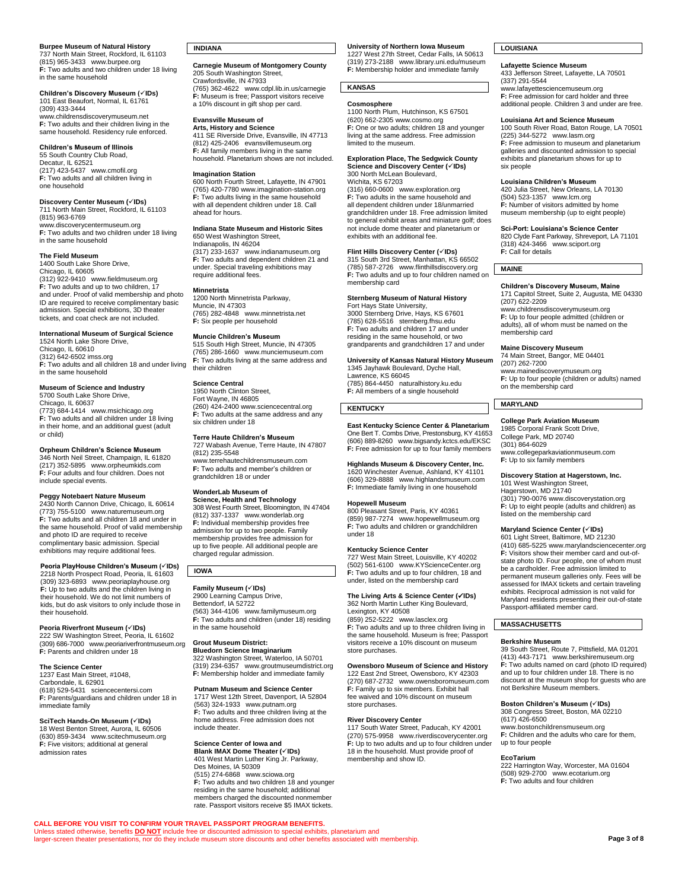# **Burpee Museum of Natural History** 737 North Main Street, Rockford, IL 61103

(815) 965-3433 [www.burpee.org](http://www.burpee.org/) **F:** Two adults and two children under 18 living in the same household

#### **Children's Discovery Museum (IDs)** 101 East Beaufort, Normal, IL 61761 (309) 433-3444 [www.childrensdiscoverymuseum.net](http://www.childrensdiscoverymuseum.net/)

**F:** Two adults and their children living in the same household. Residency rule enforced.

**Children's Museum of Illinois** 55 South Country Club Road, Decatur, IL 62521 (217) 423-5437 [www.cmofil.org](http://www.cmofil.org/) **F:** Two adults and all children living in one household

# **Discovery Center Museum (IDs)**

711 North Main Street, Rockford, IL 61103 (815) 963-6769 [www.discoverycentermuseum.org](http://www.discoverycentermuseum.org/) **F:** Two adults and two children under 18 living in the same household

#### **The Field Museum**

1400 South Lake Shore Drive, Chicago, IL 60605 (312) 922-9410 [www.fieldmuseum.org](http://www.fieldmuseum.org/) **F:** Two adults and up to two children, 17 and under. Proof of valid membership and photo ID are required to receive complimentary basic admission. Special exhibitions, 3D theater tickets, and coat check are not included.

**International Museum of Surgical Science** 1524 North Lake Shore Drive, Chicago, IL 60610

(312) 642-650[2 imss.org](https://imss.org/) **F:** Two adults and all children 18 and under living in the same household

# **Museum of Science and Industry** 5700 South Lake Shore Drive,

Chicago, IL 60637 (773) 684-1414 [www.msichicago.org](http://www.msichicago.org/) **F:** Two adults and all children under 18 living in their home, and an additional guest (adult or child)

**Orpheum Children's Science Museum** 346 North Neil Street, Champaign, IL 61820 (217) 352-5895 [www.orpheumkids.com](http://www.orpheumkids.com/) **F:** Four adults and four children. Does not include special events.

#### **Peggy Notebaert Nature Museum**

2430 North Cannon Drive, Chicago, IL 60614 (773) 755-5100 [www.naturemuseum.org](http://www.naturemuseum.org/) **F:** Two adults and all children 18 and under in the same household. Proof of valid membership and photo ID are required to receive complimentary basic admission. Special exhibitions may require additional fees.

**Peoria PlayHouse Children's Museum (IDs)** 2218 North Prospect Road, Peoria, IL 61603 (309) 323-6893 [www.peoriaplayhouse.org](http://www.peoriaplayhouse.org/) **F:** Up to two adults and the children living in their household. We do not limit numbers of kids, but do ask visitors to only include those in their household.

**Peoria Riverfront Museum (IDs)** 222 SW Washington Street, Peoria, IL 61602 (309) 686-7000 [www.peoriariverfrontmuseum.org](http://www.peoriariverfrontmuseum.org/) **F:** Parents and children under 18

# **The Science Center** 1237 East Main Street, #1048, Carbondale, IL 62901 (618) 529-5431 [sciencecentersi.com](https://sciencecentersi.com/) **F:** Parents/guardians and children under 18 in immediate family

**SciTech Hands-On Museum (IDs)** 18 West Benton Street, Aurora, IL 60506 (630) 859-3434 [www.scitechmuseum.org](http://www.scitechmuseum.org/) **F:** Five visitors; additional at general admission rates

#### **INDIANA**

# **Carnegie Museum of Montgomery County** 205 South Washington Street, Crawfordsville, IN 47933 (765) 362-4622 [www.cdpl.lib.in.us/carnegie](http://www.cdpl.lib.in.us/carnegie) **F:** Museum is free; Passport visitors receive

a 10% discount in gift shop per card. **Evansville Museum of** 

#### **Arts, History and Science**

411 SE Riverside Drive, Evansville, IN 47713 (812) 425-2406 [evansvillemuseum.org](https://evansvillemuseum.org/) **F:** All family members living in the same household. Planetarium shows are not included.

#### **Imagination Station**

600 North Fourth Street, Lafayette, IN 47901 (765) 420-778[0 www.imagination-station.org](http://www.imagination-station.org/) **F:** Two adults living in the same household with all dependent children under 18. Call ahead for hours.

# **Indiana State Museum and Historic Sites**

650 West Washington Street, Indianapolis, IN 46204 (317) 233-1637 [www.indianamuseum.org](http://www.indianamuseum.org/) **F:** Two adults and dependent children 21 and under. Special traveling exhibitions may require additional fees.

#### **Minnetrista**

1200 North Minnetrista Parkway, Muncie, IN 47303 (765) 282-4848 [www.minnetrista.net](http://www.minnetrista.net/) **F:** Six people per household

#### **Muncie Children's Museum**

515 South High Street, Muncie, IN 47305 (765) 286-1660 [www.munciemuseum.com](http://www.munciemuseum.com/) **F:** Two adults living at the same address and their children

#### **Science Central**

1950 North Clinton Street, Fort Wayne, IN 46805 (260) 424-240[0 www.sciencecentral.org](http://www.sciencecentral.org/) **F:** Two adults at the same address and any six children under 18

# **Terre Haute Children's Museum**

727 Wabash Avenue, Terre Haute, IN 47807 (812) 235-5548 [www.terrehautechildrensmuseum.com](http://www.terrehautechildrensmuseum.com/) **F:** Two adults and member's children or grandchildren 18 or under

#### **WonderLab Museum of**

**Science, Health and Technology** 308 West Fourth Street, Bloomington, IN 47404 (812) 337-1337 [www.wonderlab.org](http://www.wonderlab.org/) **F:** Individual membership provides free admission for up to two people. Family membership provides free admission for up to five people. All additional people are charged regular admission.

#### **IOWA**

**CALL BEFORE YOU VISIT TO CONFIRM YOUR TRAVEL PASSPORT PROGRAM BENEFITS.**

**Family Museum (IDs)** 2900 Learning Campus Drive, Bettendorf, IA 52722 (563) 344-4106 [www.familymuseum.org](http://www.familymuseum.org/)

**F:** Two adults and children (under 18) residing in the same household

# **Grout Museum District:**

**Bluedorn Science Imaginarium** 322 Washington Street, Waterloo, IA 50701 (319) 234-6357 [www.groutmuseumdistrict.org](http://www.groutmuseumdistrict.org/) **F:** Membership holder and immediate family

#### **Putnam Museum and Science Center**

1717 West 12th Street, Davenport, IA 52804 (563) 324-1933 [www.putnam.org](http://www.putnam.org/) **F:** Two adults and three children living at the home address. Free admission does not include theater.

# **Science Center of Iowa and Blank IMAX Dome Theater (IDs)**

Unless stated otherwise, benefits DO NOT include free or discounted admission to special exhibits, planetarium and<br>larger-screen theater presentations, nor do they include museum store discounts and other benefits associat

401 West Martin Luther King Jr. Parkway, Des Moines, IA 50309 (515) 274-6868 [www.sciowa.org](http://www.sciowa.org/) **F:** Two adults and two children 18 and younger residing in the same household; additional members charged the discounted nonmember rate. Passport visitors receive \$5 IMAX tickets.

**University of Northern Iowa Museum** 1227 West 27th Street, Cedar Falls, IA 50613 (319) 273-2188 [www.library.uni.edu/museum](http://www.library.uni.edu/museum) **F:** Membership holder and immediate family

# **KANSAS**

**Cosmosphere** 1100 North Plum, Hutchinson, KS 67501 (620) 662-230[5 www.cosmo.org](http://www.cosmo.org/) **F:** One or two adults; children 18 and younger living at the same address. Free admission limited to the museum.

# **Exploration Place, The Sedgwick County Science and Discovery Center (IDs)** 300 North McLean Boulevard,

Wichita, KS 67203 (316) 660-0600 [www.exploration.org](http://www.exploration.org/) **F:** Two adults in the same household and all dependent children under 18/unmarried grandchildren under 18. Free admission limited to general exhibit areas and miniature golf; does not include dome theater and planetarium or exhibits with an additional fee.

#### **Flint Hills Discovery Center (IDs)**

315 South 3rd Street, Manhattan, KS 66502 (785) 587-2726 [www.flinthillsdiscovery.org](http://www.flinthillsdiscovery.org/) **F:** Two adults and up to four children named on membership card

**Sternberg Museum of Natural History<br>Fort Hays State University,<br>3000 Sternberg Drive, Hays, KS 67601** (785) 628-5516 [sternberg.fhsu.edu](http://sternberg.fhsu.edu/) **F:** Two adults and children 17 and under residing in the same household, or two grandparents and grandchildren 17 and under

# **University of Kansas Natural History Museum**

1345 Jayhawk Boulevard, Dyche Hall, Lawrence, KS 66045 (785) 864-4450 [naturalhistory.ku.edu](http://naturalhistory.ku.edu/) **F:** All members of a single household

#### **KENTUCKY**

**East Kentucky Science Center & Planetarium** One Bert T. Combs Drive, Prestonsburg, KY 41653 (606) 889-8260 [www.bigsandy.kctcs.edu/EKSC](http://www.bigsandy.kctcs.edu/EKSC) **F:** Free admission for up to four family members

# **Highlands Museum & Discovery Center, Inc.** 1620 Winchester Avenue, Ashland, KY 41101

(606) 329-8888 [www.highlandsmuseum.com](http://www.highlandsmuseum.com/) **F:** Immediate family living in one household

**Hopewell Museum** 800 Pleasant Street, Paris, KY 40361 (859) 987-7274 [www.hopewellmuseum.org](http://www.hopewellmuseum.org/) **F:** Two adults and children or grandchildren under 18

#### **Kentucky Science Center**

727 West Main Street, Louisville, KY 40202 (502) 561-6100 [www.KYScienceCenter.org](http://www.kysciencecenter.org/) **F:** Two adults and up to four children, 18 and under, listed on the membership card

# **The Living Arts & Science Center (IDs)** 362 North Martin Luther King Boulevard,

Lexington, KY 40508

(859) 252-5222 [www.lasclex.org](http://www.lasclex.org/) **F:** Two adults and up to three children living in the same household. Museum is free; Passport visitors receive a 10% discount on museum store purchases.

#### **Owensboro Museum of Science and History** 122 East 2nd Street, Owensboro, KY 42303 (270) 687-2732 [www.owensboromuseum.com](http://www.owensboromuseum.com/)

**F:** Family up to six members. Exhibit hall fee waived and 10% discount on museum store purchases.

#### **River Discovery Center**

117 South Water Street, Paducah, KY 42001 (270) 575-9958 [www.riverdiscoverycenter.org](http://www.riverdiscoverycenter.org/) **F:** Up to two adults and up to four children under 18 in the household. Must provide proof of membership and show ID.

#### **LOUISIANA**

#### **Lafayette Science Museum**

433 Jefferson Street, Lafayette, LA 70501 (337) 291-5544 [www.lafayettesciencemuseum.org](http://www.lafayettesciencemuseum.org/) **F:** Free admission for card holder and three additional people. Children 3 and under are free.

#### **Louisiana Art and Science Museum**

100 South River Road, Baton Rouge, LA 70501 (225) 344-5272 [www.lasm.org](http://www.lasm.org/) **F:** Free admission to museum and planetarium galleries and discounted admission to special exhibits and planetarium shows for up to six people

#### **Louisiana Children's Museum**

420 Julia Street, New Orleans, LA 70130 (504) 523-1357 [www.lcm.org](http://www.lcm.org/) **F:** Number of visitors admitted by home museum membership (up to eight people)

**Sci-Port: Louisiana's Science Center** 820 Clyde Fant Parkway, Shreveport, LA 71101 (318) 424-3466 [www.sciport.org](http://www.sciport.org/) **F:** Call for details

#### **MAINE**

**Children's Discovery Museum, Maine** 171 Capitol Street, Suite 2, Augusta, ME 04330 (207) 622-2209 [www.childrensdiscoverymuseum.org](http://www.childrensdiscoverymuseum.org/) **F:** Up to four people admitted (children or adults), all of whom must be named on the membership card

#### **Maine Discovery Museum**

74 Main Street, Bangor, ME 04401 (207) 262-7200 [www.mainediscoverymuseum.org](http://www.mainediscoverymuseum.org/) **F:** Up to four people (children or adults) named on the membership card

#### **MARYLAND**

#### **College Park Aviation Museum**

1985 Corporal Frank Scott Drive, College Park, MD 20740 (301) 864-6029 [www.collegeparkaviationmuseum.com](http://www.collegeparkaviationmuseum.com/) **F:** Up to six family members

**Discovery Station at Hagerstown, Inc.** 101 West Washington Street, Hagerstown, MD 21740 (301) 790-007[6 www.discoverystation.org](https://discoverystation.org/)

**F:** Up to eight people (adults and children) as listed on the membership card

#### **Maryland Science Center (IDs)**

601 Light Street, Baltimore, MD 21230 (410) 685-522[5 www.marylandsciencecenter.org](http://www.marylandsciencecenter.org/) **F:** Visitors show their member card and out-ofstate photo ID. Four people, one of whom must be a cardholder. Free admission limited to permanent museum galleries only. Fees will be assessed for IMAX tickets and certain traveling exhibits. Reciprocal admission is not valid for Maryland residents presenting their out-of-state Passport-affiliated member card.

#### **MASSACHUSETTS**

#### **Berkshire Museum**

39 South Street, Route 7, Pittsfield, MA 01201 (413) 443-7171 [www.berkshiremuseum.org](http://www.berkshiremuseum.org/) **F:** Two adults named on card (photo ID required) and up to four children under 18. There is no discount at the museum shop for guests who are not Berkshire Museum members.

# **Boston Children's Museum (IDs)** 308 Congress Street, Boston, MA 02210 (617) 426-6500

[www.bostonchildrensmuseum.org](http://www.bostonchildrensmuseum.org/) **F:** Children and the adults who care for them, up to four people

#### **EcoTarium**

222 Harrington Way, Worcester, MA 01604 (508) 929-2700 [www.ecotarium.org](http://www.ecotarium.org/) **F:** Two adults and four children

**Page 3 of 8**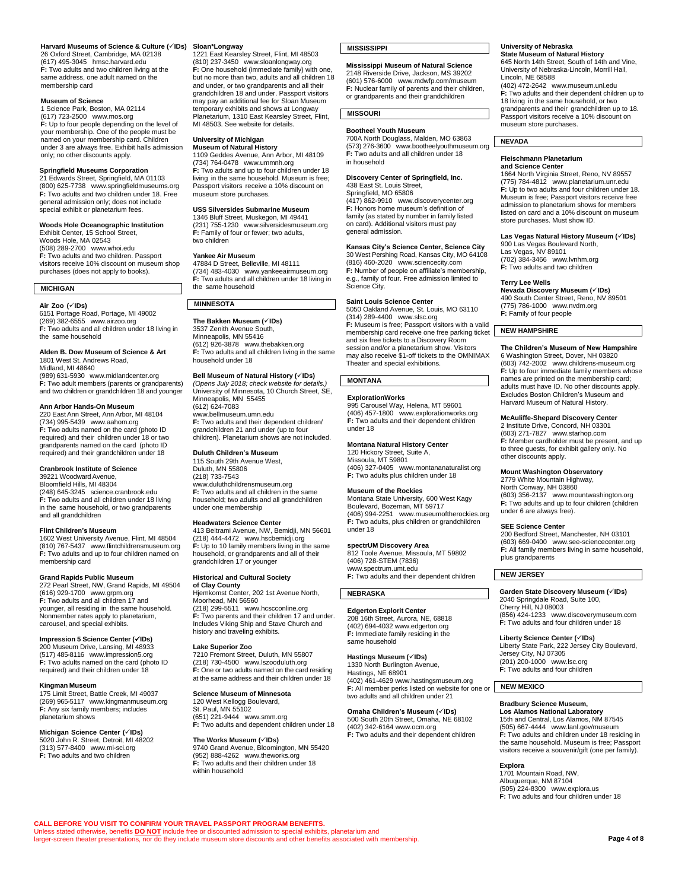#### **Harvard Museums of Science & Culture (v1Ds) Sloan\*Longway<br>26 Oxford Street, Cambridge, MA 02138 1221 East Kearsley Street, Flint, MI 48503** (617) 495-3045 [hmsc.harvard.edu](http://hmsc.harvard.edu/) **F:** Two adults and two children living at the same address, one adult named on the membership card

#### **Museum of Science**

1 Science Park, Boston, MA 02114 (617) 723-2500 [www.mos.org](http://www.mos.org/) **F:** Up to four people depending on the level of your membership. One of the people must be named on your membership card. Children under 3 are always free. Exhibit halls admission only; no other discounts apply.

#### **Springfield Museums Corporation**

21 Edwards Street, Springfield, MA 01103 (800) 625-7738 [www.springfieldmuseums.org](http://www.springfieldmuseums.org/) **F:** Two adults and two children under 18. Free general admission only; does not include special exhibit or planetarium fees.

#### **Woods Hole Oceanographic Institution**

Exhibit Center, 15 School Street, Woods Hole, MA 02543 (508) 289-2700 [www.whoi.edu](http://www.whoi.edu/) **F:** Two adults and two children. Passport visitors receive 10% discount on museum shop purchases (does not apply to books).

#### **MICHIGAN**

**Air Zoo (IDs)**

6151 Portage Road, Portage, MI 49002 (269) 382-6555 [www.airzoo.org](http://www.airzoo.org/) **F:** Two adults and all children under 18 living in the same household

#### **Alden B. Dow Museum of Science & Art** 1801 West St. Andrews Road, Midland, MI 48640

(989) 631-5930 [www.midlandcenter.org](http://www.midlandcenter.org/) **F:** Two adult members (parents or grandparents) and two children or grandchildren 18 and younger

#### **Ann Arbor Hands-On Museum**

220 EastAnn Street, Ann Arbor, MI 48104 (734) 995-5439 [www.aahom.org](http://www.aahom.org/) **F:** Two adults named on the card (photo ID required) and their children under 18 or two grandparents named on the card (photo ID required) and their grandchildren under 18

#### **Cranbrook Institute of Science**

39221 Woodward Avenue, Bloomfield Hills, MI 48304 (248) 645-3245 [science.cranbrook.edu](http://science.cranbrook.edu/) **F:** Two adults and all children under 18 living in the same household, or two grandparents and all grandchildren

#### **Flint Children's Museum**

1602 West University Avenue, Flint, MI 48504 (810) 767-5437 [www.flintchildrensmuseum.org](http://www.flintchildrensmuseum.org/) **F:** Two adults and up to four children named on membership card

#### **Grand Rapids Public Museum**

272 Pearl Street, NW, Grand Rapids, MI 49504 (616) 929-1700 [www.grpm.org](http://www.grpm.org/) **F:** Two adults and all children 17 and younger, all residing in the same household. Nonmember rates apply to planetarium, carousel, and special exhibits.

**Impression 5 Science Center (IDs)** 200 Museum Drive, Lansing, MI 48933 (517) 485-8116 [www.impression5.org](http://www.impression5.org/) **F:** Two adults named on the card (photo ID required) and their children under 18

#### **Kingman Museum**

175 Limit Street, Battle Creek, MI 49037 (269) 965-5117 [www.kingmanmuseum.org](http://www.kingmanmuseum.org/) **F:** Any six family members; includes planetarium shows

#### **Michigan Science Center (IDs)**

5020 John R. Street, Detroit, MI 48202 (313) 577-8400 [www.mi-sci.org](http://www.mi-sci.org/) **F:** Two adults and two children

(810) 237-3450 [www.sloanlongway.org](http://www.sloanlongway.org/) **F:** One household (immediate family) with one, but no more than two, adults and all children 18 and under, or two grandparents and all their grandchildren 18 and under. Passport visitors may pay an additional fee for Sloan Museum temporary exhibits and shows at Longway Planetarium, 1310 East Kearsley Street, Flint, MI 48503. See website for details.

# **University of Michigan**

**Museum of Natural History** 1109 Geddes Avenue, Ann Arbor, MI 48109 (734) 764-0478 [www.ummnh.org](http://www.ummnh.org/) **F:** Two adults and up to four children under 18 living in the same household. Museum is free; Passport visitors receive a 10% discount on museum store purchases.

#### **USS Silversides Submarine Museum** 1346 Bluff Street, Muskegon, MI 49441

(231) 755-1230 [www.silversidesmuseum.org](http://www.silversidesmuseum.org/) **F:** Family of four or fewer; two adults, two children

#### **Yankee Air Museum**

47884 D Street, Belleville, MI 48111 (734) 483-4030 [www.yankeeairmuseum.org](http://www.yankeeairmuseum.org/) **F:** Two adults and all children under 18 living in the same household

#### **MINNESOTA**

**The Bakken Museum (IDs)** 3537 Zenith Avenue South, Minneapolis, MN 55416 (612) 926-3878 [www.thebakken.org](http://www.thebakken.org/) **F:** Two adults and all children living in the same household under 18

# **Bell Museum of Natural History (IDs)** *(Opens July 2018; check website for details.)*

University of Minnesota, 10 Church Street, SE, Minneapolis, MN 55455 (612) 624-7083

[www.bellmuseum.umn.edu](https://www.bellmuseum.umn.edu/) **F:** Two adults and their dependent children/ grandchildren 21 and under (up to four children). Planetarium shows are not included.

#### **Duluth Children's Museum** 115 South 29th Avenue West,

Duluth, MN 55806 (218) 733-7543 [www.duluthchildrensmuseum.org](http://www.duluthchildrensmuseum.org/) **F:** Two adults and all children in the same household; two adults and all grandchildren under one membership

#### **Headwaters Science Center**

413 Beltrami Avenue, NW, Bemidji, MN 56601 (218) 444-4472 [www.hscbemidji.org](http://www.hscbemidji.org/) **F:** Up to 10 family members living in the same household, or grandparents and all of their grandchildren 17 or younger

#### **Historical and Cultural Society**

**of Clay County** Hjemkomst Center, 202 1st Avenue North, Moorhead, MN 56560 (218) 299-5511 [www.hcscconline.org](http://www.hcscconline.org/) **F:** Two parents and their children 17 and under. Includes Viking Ship and Stave Church and history and traveling exhibits.

#### **Lake Superior Zoo**

**CALL BEFORE YOU VISIT TO CONFIRM YOUR TRAVEL PASSPORT PROGRAM BENEFITS.**

Unless stated otherwise, benefits **DO NOT** include free or discounted admission to special exhibits, planetarium and larger-screen theater presentations, nor do they include museum store discounts and other benefits associated with membership.

7210 Fremont Street, Duluth, MN 55807 (218) 730-4500 [www.lszooduluth.org](http://www.lszooduluth.org/) **F:** One or two adults named on the card residing at the same address and their children under 18

### **Science Museum of Minnesota**

120 West Kellogg Boulevard, St. Paul, MN 55102 (651) 221-9444 [www.smm.org](http://www.smm.org/) **F:** Two adults and dependent children under 18

**The Works Museum (IDs)** 9740 Grand Avenue, Bloomington, MN 55420 (952) 888-4262 [www.theworks.org](http://www.theworks.org/) **F:** Two adults and their children under 18 within household

#### **MISSISSIPPI**

### **Mississippi Museum of Natural Science**

2148 Riverside Drive, Jackson, MS 39202 (601) 576-6000 [www.mdwfp.com/museum](http://www.mdwfp.com/museum) **F:** Nuclear family of parents and their children, or grandparents and their grandchildren

# **MISSOURI**

in household

**Bootheel Youth Museum** 700A North Douglass, Malden, MO 63863 (573) 276-3600 [www.bootheelyouthmuseum.org](http://www.bootheelyouthmuseum.org/) **F:** Two adults and all children under 18

# **Discovery Center of Springfield, Inc.**

438 East St. Louis Street, Springfield, MO 65806 (417) 862-9910 [www.discoverycenter.org](http://www.discoverycenter.org/) **F:** Honors home museum's definition of family (as stated by number in family listed on card). Additional visitors must pay general admission.

# **Kansas City's Science Center, Science City**

30 West Pershing Road, Kansas City, MO 64108 (816) 460-2020 [www.sciencecity.com](http://www.sciencecity.com/) **F:** Number of people on affiliate's membership, e.g., family of four. Free admission limited to Science City.

**Saint Louis Science Center** 5050 Oakland Avenue, St. Louis, MO 63110 (314) 289-4400 [www.slsc.org](http://www.slsc.org/) **F:** Museum is free; Passport visitors with a valid membership card receive one free parking ticket and six free tickets to a Discovery Room session and/or a planetarium show. Visitors may also receive \$1-off tickets to the OMNIMAX Theater and special exhibitions.

# **MONTANA**

# **ExplorationWorks**

995 Carousel Way, Helena, MT 59601 (406) 457-1800 [www.explorationworks.org](http://www.explorationworks.org/) **F:** Two adults and their dependent children under 18

# **Montana Natural History Center** 120 Hickory Street, Suite A,

Missoula, MT 59801 (406) 327-0405 [www.montananaturalist.org](http://www.montananaturalist.org/) **F:** Two adults plus children under 18

#### **Museum of the Rockies**

Montana State University, 600 West Kagy Boulevard, Bozeman, MT 59717 (406) 994-2251 [www.museumoftherockies.org](http://www.museumoftherockies.org/) **F:** Two adults, plus children or grandchildren under 18

#### **spectrUM Discovery Area**

812 Toole Avenue, Missoula, MT 59802 (406) 728-STEM (7836) ww[w.spectrum.umt.edu](http://spectrum.umt.edu/) **F:** Two adults and their dependent children

# **NEBRASKA**

**Edgerton Explorit Center** 208 16th Street, Aurora, NE, 68818 (402) 694-4032 [www.edgerton.org](http://www.edgerton.org/) **F:** Immediate family residing in the same household

#### **Hastings Museum (IDs)**

1330 North Burlington Avenue, Hastings, NE 68901 (402) 461-462[9 www.hastingsmuseum.org](http://www.hastingsmuseum.org/) **F:** All member perks listed on website for one or two adults and all children under 21

#### **Omaha Children's Museum (IDs)**

500 South 20th Street, Omaha, NE 68102 (402) 342-616[4 www.ocm.org](http://www.ocm.org/) **F:** Two adults and their dependent children

#### **University of Nebraska State Museum of Natural History**

645 North 14th Street, South of 14th and Vine, University of Nebraska-Lincoln, Morrill Hall, Lincoln, NE 68588  $(402)$   $472-2642$  [www.museum.unl.edu](http://www.museum.unl.edu/) **F:** Two adults and their dependent children up to

18 living in the same household, or two grandparents and their grandchildren up to 18. Passport visitors receive a 10% discount on museum store purchases.

#### **NEVADA**

# **Fleischmann Planetarium**

**and Science Center** 1664 North Virginia Street, Reno, NV 89557 (775) 784-4812 [www.planetarium.unr.edu](http://www.planetarium.unr.edu/) **F:** Up to two adults and four children under 18. Museum is free; Passport visitors receive free admission to planetarium shows for members listed on card and a 10% discount on museum store purchases. Must show ID.

# **Las Vegas Natural History Museum (IDs)** 900 Las Vegas Boulevard North,

Las Vegas, NV 89101 (702) 384-3466 [www.lvnhm.org](http://www.lvnhm.org/) **F:** Two adults and two children

#### **Terry Lee Wells**

**Nevada Discovery Museum (IDs)** 490 South Center Street, Reno, NV 89501 (775) 786-1000 [www.nvdm.org](http://www.nvdm.org/) **F:** Family of four people

#### **NEW HAMPSHIRE**

#### **The Children's Museum of New Hampshire** 6 Washington Street, Dover, NH 03820 (603) 742-2002 [www.childrens-museum.org](http://www.childrens-museum.org/) **F:** Up to four immediate family members whose names are printed on the membership card; adults must have ID. No other discounts apply. Excludes Boston Children's Museum and Harvard Museum of Natural History.

**McAuliffe-Shepard Discovery Center**<br>2 Institute Drive, Concord, NH 03301<br>(603) 271-7827 [www.starhop.com](http://www.starhop.com/) **F:** Member cardholder must be present, and up to three guests, for exhibit gallery only. No other discounts apply.

#### **Mount Washington Observatory**

2779 White Mountain Highway, North Conway, NH 03860 (603) 356-2137 [www.mountwashington.org](http://www.mountwashington.org/) **F:** Two adults and up to four children (children under 6 are always free).

#### **SEE Science Center**

200 Bedford Street, Manchester, NH 03101 (603) 669-0400 [www.see-sciencecenter.org](http://www.see-sciencecenter.org/) **F:** All family members living in same household, plus grandparents

#### **NEW JERSEY**

#### **Garden State Discovery Museum (IDs)** 2040 Springdale Road, Suite 100, Cherry Hill, NJ 08003 (856) 424-1233 [www.discoverymuseum.com](http://www.discoverymuseum.com/) **F:** Two adults and four children under 18

**Liberty Science Center (IDs)** Liberty State Park, 222 Jersey City Boulevard, Jersey City, NJ 07305 (201) 200-1000 [www.lsc.org](http://www.lsc.org/) **F:** Two adults and four children

# **NEW MEXICO**

# **Bradbury Science Museum,**

1701 Mountain Road, NW, Albuquerque, NM 87104

(505) 224-8300 [www.explora.us](http://www.explora.us/) **F:** Two adults and four children under 18

**Los Alamos National Laboratory** 15th and Central, Los Alamos, NM 87545 (505) 667-4444 [www.lanl.gov/museum](http://www.lanl.gov/museum) **F:** Two adults and children under 18 residing in the same household. Museum is free; Passport visitors receive a souvenir/gift (one per family).

**Page 4 of 8**

#### **Explora**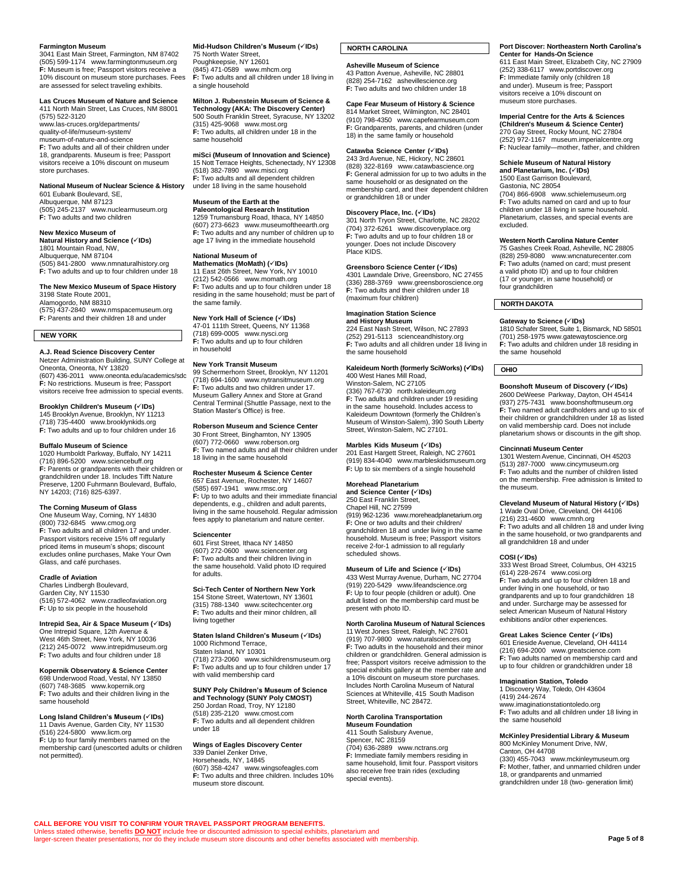**Farmington Museum** 3041 East Main Street, Farmington, NM 87402 (505) 599-1174 [www.farmingtonmuseum.org](http://www.farmingtonmuseum.org/) **F:** Museum is free; Passport visitors receive a 10% discount on museum store purchases. Fees are assessed for select traveling exhibits.

**Las Cruces Museum of Nature and Science** 411 North Main Street, Las Cruces, NM 88001

(575) 522-3120 [www.las-cruces.org/departments/](http://www.las-cruces.org/departments/quality-of-life/museum-system/museum-of-nature-and-science) [quality-of-life/museum-system/](http://www.las-cruces.org/departments/quality-of-life/museum-system/museum-of-nature-and-science) [museum-of-nature-and-science](http://www.las-cruces.org/departments/quality-of-life/museum-system/museum-of-nature-and-science) **F:** Two adults and all of their children under 18, grandparents. Museum is free; Passport visitors receive a 10% discount on museum store purchases.

#### **National Museum of Nuclear Science & History** 601 Eubank Boulevard, SE,

Albuquerque, NM 87123 (505) 245-2137 [www.nuclearmuseum.org](http://www.nuclearmuseum.org/) **F:** Two adults and two children

#### **New Mexico Museum of**

**Natural History and Science (IDs)** 1801 Mountain Road, NW, Albuquerque, NM 87104 (505) 841-2800 [www.nmnaturalhistory.org](http://www.nmnaturalhistory.org/) **F:** Two adults and up to four children under 18

#### **The New Mexico Museum of Space History** 3198 State Route 2001,

Alamogordo, NM 88310 (575) 437-2840 [www.nmspacemuseum.org](http://www.nmspacemuseum.org/) **F:** Parents and their children 18 and under

#### **NEW YORK**

**A.J. Read Science Discovery Center** Netzer Administration Building, SUNY College at Oneonta, Oneonta, NY 13820 (607) 436-2011 [www.oneonta.edu/academics/sdc](http://www.oneonta.edu/academics/sdc) **F:** No restrictions. Museum is free; Passport visitors receive free admission to special events.

# **Brooklyn Children's Museum (IDs)**

145 Brooklyn Avenue, Brooklyn, NY 11213 (718) 735-4400 [www.brooklynkids.org](http://www.brooklynkids.org/) **F:** Two adults and up to four children under 16

#### **Buffalo Museum of Science**

1020 Humboldt Parkway, Buffalo, NY 14211 (716) 896-5200 [www.sciencebuff.org](http://www.sciencebuff.org/) **F:** Parents or grandparents with their children or grandchildren under 18. Includes Tifft Nature Preserve, 1200 Fuhrmann Boulevard, Buffalo, NY 14203; (716) 825-6397.

#### **The Corning Museum of Glass**

One Museum Way, Corning, NY 14830 (800) 732-6845 [www.cmog.org](https://www.cmog.org/) **F:** Two adults and all children 17 and under. Passport visitors receive 15% off regularly priced items in museum's shops; discount excludes online purchases, Make Your Own Glass, and café purchases.

#### **Cradle of Aviation**

Charles Lindbergh Boulevard, Garden City, NY 11530 (516) 572-4062 [www.cradleofaviation.org](https://www.cradleofaviation.org/) **F:** Up to six people in the household

#### **Intrepid Sea, Air & Space Museum (IDs)** One Intrepid Square, 12th Avenue & West 46th Street, New York, NY 10036 (212) 245-0072 [www.intrepidmuseum.org](http://www.intrepidmuseum.org/) **F:** Two adults and four children under 18

**Kopernik Observatory & Science Center** 698 Underwood Road, Vestal, NY 13850

(607) 748-3685 [www.kopernik.org](http://www.kopernik.org/) **F:** Two adults and their children living in the same household

**Long Island Children's Museum (IDs)** 11 Davis Avenue, Garden City, NY 11530 (516) 224-5800 [www.licm.org](http://www.licm.org/) **F:** Up to four family members named on the membership card (unescorted adults or children not permitted).

**Mid-Hudson Children's Museum (IDs)** 75 North Water Street, Poughkeepsie, NY 12601 (845) 471-0589 [www.mhcm.org](http://www.mhcm.org/) **F:** Two adults and all children under 18 living in a single household

#### **Milton J. Rubenstein Museum of Science &**

**Technology (AKA: The Discovery Center)** 500 South Franklin Street, Syracuse, NY 13202 (315) 425-9068 [www.most.org](http://www.most.org/) **F:** Two adults, all children under 18 in the same household

**miSci (Museum of Innovation and Science)** 15 Nott Terrace Heights, Schenectady, NY 12308 (518) 382-7890 [www.misci.org](http://www.misci.org/) **F:** Two adults and all dependent children

under 18 living in the same household

# **Museum of the Earth at the**

**Paleontological Research Institution** 1259 Trumansburg Road, Ithaca, NY 14850 (607) 273-6623 [www.museumoftheearth.org](http://www.museumoftheearth.org/) **F:** Two adults and any number of children up to age 17 living in the immediate household

### **National Museum of**

Mathematics (MoMath) (**VIDs)**<br>11 East 26th Street, New York, NY 10010<br>(212) 542-0566 [www.momath.org](http://www.momath.org/) **F:** Two adults and up to four children under 18 residing in the same household; must be part of the same family.

#### **New York Hall of Science (IDs)**

47-01 111th Street, Queens, NY 11368 (718) 699-0005 [www.nysci.org](http://www.nysci.org/) **F:** Two adults and up to four children in household

#### **New York Transit Museum**

99 Schermerhorn Street, Brooklyn, NY 11201 (718) 694-1600 [www.nytransitmuseum.org](http://www.nytransitmuseum.org/) **F:** Two adults and two children under 17. Museum Gallery Annex and Store at Grand Central Terminal (Shuttle Passage, next to the Station Master's Office) is free.

#### **Roberson Museum and Science Center** 30 Front Street, Binghamton, NY 13905 (607) 772-0660 [www.roberson.org](http://www.roberson.org/) **F:** Two named adults and all their children under 18 living in the same household

**Rochester Museum & Science Center** 657 East Avenue, Rochester, NY 14607 (585) 697-1941 [www.rmsc.org](http://www.rmsc.org/) **F:** Up to two adults and their immediate financial dependents, e.g., children and adult parents, living in the same household. Regular admission fees apply to planetarium and nature center.

#### **Sciencenter**

601 First Street, Ithaca NY 14850 (607) 272-0600 [www.sciencenter.org](http://www.sciencenter.org/) **F:** Two adults and their children living in the same household. Valid photo ID required for adults.

#### **Sci-Tech Center of Northern New York** 154 Stone Street, Watertown, NY 13601

(315) 788-1340 [www.scitechcenter.org](http://www.scitechcenter.org/) **F:** Two adults and their minor children, all living together

#### **Staten Island Children's Museum (IDs)**

1000 Richmond Terrace, Staten Island, NY 10301 (718) 273-2060 [www.sichildrensmuseum.org](http://www.sichildrensmuseum.org/) **F:** Two adults and up to four children under 17 with valid membership card

**SUNY Poly Children's Museum of Science<br><b>and Technology (SUNY Poly CMOST)**<br>250 Jordan Road, Troy, NY 12180<br>(518) 235-2120 [www.cmost.com](http://www.cmost.com/) **F:** Two adults and all dependent children under 18

**Wings of Eagles Discovery Center** 339 Daniel Zenker Drive, Horseheads, NY, 14845 (607) 358-4247 [www.wingsofeagles.com](http://www.wingsofeagles.com/) **F:** Two adults and three children. Includes 10% museum store discount.

# **NORTH CAROLINA**

# **Asheville Museum of Science**

43 Patton Avenue, Asheville, NC 28801 (828) 254-7162 [ashevillescience.org](http://ashevillescience.org/) **F:** Two adults and two children under 18

# **Cape Fear Museum of History & Science** 814 Market Street, Wilmington, NC 28401 (910) 798-4350 [www.capefearmuseum.com](http://www.capefearmuseum.com/)

**F:** Grandparents, parents, and children (under 18) in the same family or household

**Catawba Science Center (IDs)** 243 3rd Avenue, NE, Hickory, NC 28601 (828) 322-8169 [www.catawbascience.org](http://www.catawbascience.org/) **F:** General admission for up to two adults in the same household or as designated on the membership card, and their dependent children or grandchildren 18 or under

#### **Discovery Place, Inc. (IDs)**

301 North Tryon Street, Charlotte, NC 28202 (704) 372-6261 [www.discoveryplace.org](http://www.discoveryplace.org/) **F:** Two adults and up to four children 18 or younger. Does not include Discovery Place KIDS.

#### **Greensboro Science Center (IDs)**

4301 Lawndale Drive, Greensboro, NC 27455 (336) 288-3769 [www.greensboroscience.org](http://www.greensboroscience.org/) **F:** Two adults and their children under 18 (maximum four children)

#### **Imagination Station Science**

**and History Museum** 224 East Nash Street, Wilson, NC 27893 (252) 291-5113 [scienceandhistory.org](http://scienceandhistory.org/home) **F:** Two adults and all children under 18 living in the same household

# **Kaleideum North (formerly SciWorks) (IDs)**

400 West Hanes Mill Road, Winston-Salem, NC 27105 (336) 767-6730 [north.kaleideum.org](http://north.kaleideum.org/) **F:** Two adults and children under 19 residing in the same household. Includes access to Kaleideum Downtown (formerly the Children's Museum of Winston-Salem), 390 South Liberty Street, Winston-Salem, NC 27101.

#### **Marbles Kids Museum (IDs)**

201 East Hargett Street, Raleigh, NC 27601 (919) 834-4040 [www.marbleskidsmuseum.org](http://www.marbleskidsmuseum.org/) **F:** Up to six members of a single household

#### **Morehead Planetarium**

**and Science Center (IDs)** 250 East Franklin Street, Chapel Hill, NC 27599 (919) 962-1236 [www.moreheadplanetarium.org](http://www.moreheadplanetarium.org/) **F:** One or two adults and their children/ grandchildren 18 and under living in the same household. Museum is free; Passport visitors receive 2-for-1 admission to all regularly scheduled shows.

#### **Museum of Life and Science (IDs)**

433 West Murray Avenue, Durham, NC 27704 (919) 220-5429 [www.lifeandscience.org](http://www.lifeandscience.org/) **F:** Up to four people (children or adult). One adult listed on the membership card must be present with photo ID.

# **North Carolina Museum of Natural Sciences**

11 West Jones Street, Raleigh, NC 27601 (919) 707-9800 [www.naturalsciences.org](http://www.naturalsciences.org/) **F:** Two adults in the household and their minor children or grandchildren. General admission is free; Passport visitors receive admission to the special exhibits gallery at the member rate and a 10% discount on museum store purchases. Includes North Carolina Museum of Natural Sciences at Whiteville, 415 South Madison Street, Whiteville, NC 28472.

#### **North Carolina Transportation**

**Museum Foundation** 411 South Salisbury Avenue, Spencer, NC 28159 (704) 636-2889 [www.nctrans.org](http://www.nctrans.org/) **F:** Immediate family members residing in same household, limit four. Passport visitors also receive free train rides (excluding special events)

#### **Port Discover: Northeastern North Carolina's Center for Hands-On Science** 611 East Main Street, Elizabeth City, NC 27909

(252) 338-6117 [www.portdiscover.org](http://www.portdiscover.org/) **F:** Immediate family only (children 18<br>and under). Museum is free; Passport<br>visitors receive a 10% discount on museum store purchases.

#### **Imperial Centre for the Arts & Sciences (Children's Museum & Science Center)** 270 Gay Street, Rocky Mount, NC 27804 (252) 972-1167 [museum.imperialcentre.org](http://museum.imperialcentre.org/) **F:** Nuclear family—mother, father, and children

#### **Schiele Museum of Natural History and Planetarium, Inc. (IDs)**

1500 East Garrison Boulevard, Gastonia, NC 28054 (704) 866-6908 [www.schielemuseum.org](http://www.schielemuseum.org/) **F:** Two adults named on card and up to four children under 18 living in same household. Planetarium, classes, and special events are excluded.

#### **Western North Carolina Nature Center**

75 Gashes Creek Road, Asheville, NC 28805 (828) 259-8080 [www.wncnaturecenter.com](http://www.wncnaturecenter.com/) **F:** Two adults (named on card; must present a valid photo ID) and up to four children (17 or younger, in same household) or four grandchildren

# **NORTH DAKOTA**

**Gateway to Science (IDs)** 1810 Schafer Street, Suite 1, Bismarck, ND 58501 (701) 258-1975 [www.gatewaytoscience.org](http://www.gatewaytoscience.org/) **F:** Two adults and children under 18 residing in the same household

# **OHIO**

#### **Boonshoft Museum of Discovery (IDs)** 2600 DeWeese Parkway, Dayton, OH 45414 (937) 275-7431 [www.boonshoftmuseum.org](http://www.boonshoftmuseum.org/) **F:** Two named adult cardholders and up to six of their children or grandchildren under 18 as listed on valid membership card. Does not include planetarium shows or discounts in the gift shop.

#### **Cincinnati Museum Center**

1301 Western Avenue, Cincinnati, OH 45203 (513) 287-7000 [www.cincymuseum.org](http://www.cincymuseum.org/) **F:** Two adults and the number of children listed on the membership. Free admission is limited to the museum.

# **Cleveland Museum of Natural History (IDs)** 1 Wade Oval Drive, Cleveland, OH 44106

(216) 231-4600 [www.cmnh.org](http://www.cmnh.org/) **F:** Two adults and all children 18 and under living in the same household, or two grandparents and all grandchildren 18 and under

#### **COSI (IDs)**

333 West Broad Street, Columbus, OH 43215 (614) 228-2674 [www.cosi.org](http://www.cosi.org/) **F:** Two adults and up to four children 18 and under living in one household, or two grandparents and up to four grandchildren 18 and under. Surcharge may be assessed for select American Museum of Natural History exhibitions and/or other experiences.

#### **Great Lakes Science Center (IDs)**

601 Erieside Avenue, Cleveland, OH 44114 (216) 694-2000 [www.greatscience.com](http://www.greatscience.com/) **F:** Two adults named on membership card and up to four children or grandchildren under 18

#### **Imagination Station, Toledo**

1 Discovery Way, Toledo, OH 43604 (419) 244-2674 [www.imaginationstationtoledo.org](http://www.imaginationstationtoledo.org/) **F:** Two adults and all children under 18 living in the same household

#### **McKinley Presidential Library & Museum**

800 McKinley Monument Drive, NW, Canton, OH 44708 (330) 455-7043 [www.mckinleymuseum.org](http://www.mckinleymuseum.org/) **F:** Mother, father, and unmarried children under 18, or grandparents and unmarried grandchildren under 18 (two- generation limit)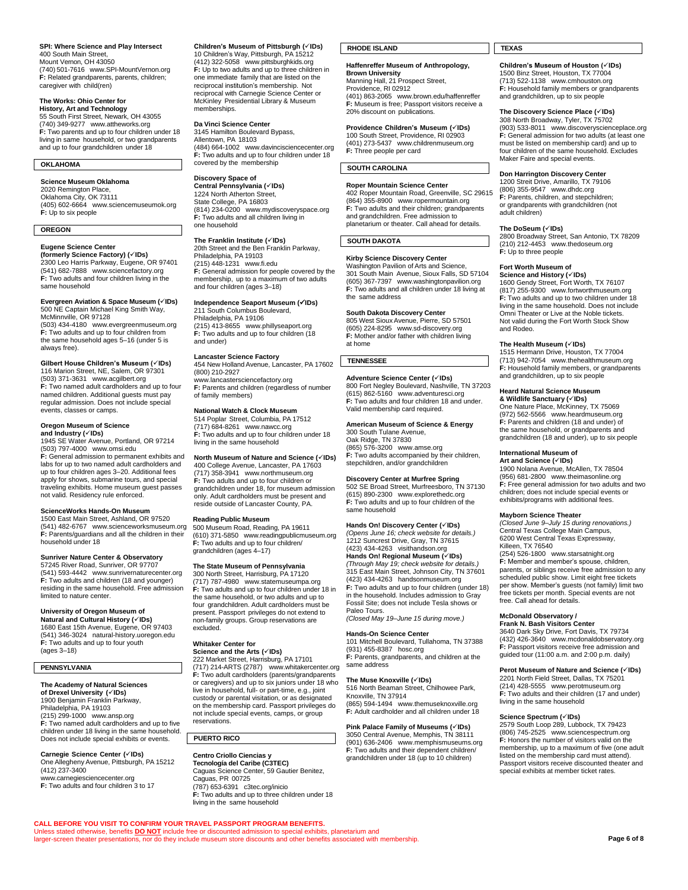#### **SPI: Where Science and Play Intersect** 400 South Main Street, Mount Vernon, OH 43050

(740) 501-7616 [www.SPI-MountVernon.org](http://www.spi-mountvernon.org/) **F:** Related grandparents, parents, children; caregiver with child(ren)

#### **The Works: Ohio Center for**

**History, Art and Technology** 55 South First Street, Newark, OH 43055 (740) 349-9277 [www.attheworks.org](http://www.attheworks.org/) **F:** Two parents and up to four children under 18 living in same household, or two grandparents and up to four grandchildren under 18

# **OKLAHOMA**

**Science Museum Oklahoma** 2020 Remington Place, Oklahoma City, OK 73111 (405) 602-6664 [www.sciencemuseumok.org](http://www.sciencemuseumok.org/) **F:** Up to six people

#### **OREGON**

# **Eugene Science Center**

**(formerly Science Factory) (IDs)** 2300 Leo Harris Parkway, Eugene, OR 97401 (541) 682-7888 [www.sciencefactory.org](http://www.sciencefactory.org/) **F:** Two adults and four children living in the same household

# **Evergreen Aviation & Space Museum (IDs)** 500 NE Captain Michael King Smith Way, McMinnville, OR 97128

(503) 434-4180 [www.evergreenmuseum.org](http://www.evergreenmuseum.org/) **F:** Two adults and up to four children from the same household ages 5–16 (under 5 is always free).

# **Gilbert House Children's Museum (IDs)**

116 Marion Street, NE, Salem, OR 97301 (503) 371-3631 [www.acgilbert.org](http://www.acgilbert.org/) **F:** Two named adult cardholders and up to four named children. Additional guests must pay regular admission. Does not include special events, classes or camps.

#### **Oregon Museum of Science**

**and Industry (√IDs)**<br>1945 SE Water Avenue, Portland, OR 97214<br>(503) 797-4000 [www.omsi.edu](http://www.omsi.edu/) **F:** General admission to permanent exhibits and labs for up to two named adult cardholders and up to four children ages 3–20. Additional fees apply for shows, submarine tours, and special traveling exhibits. Home museum guest passes not valid. Residency rule enforced.

#### **ScienceWorks Hands-On Museum**

1500 East Main Street, Ashland, OR 97520 (541) 482-6767 [www.scienceworksmuseum.org](http://www.scienceworksmuseum.org/) **F:** Parents/guardians and all the children in their household under 18

# **Sunriver Nature Center & Observatory** 57245 River Road, Sunriver, OR 97707

(541) 593-4442 [www.sunrivernaturecenter.org](http://www.sunrivernaturecenter.org/) **F:** Two adults and children (18 and younger) residing in the same household. Free admission limited to nature center.

#### **University of Oregon Museum of**

**Natural and Cultural History (IDs)** 1680 East 15th Avenue, Eugene, OR 97403 (541) 346-3024 [natural-history.uoregon.edu](http://natural-history.uoregon.edu/) **F:** Two adults and up to four youth (ages 3–18)

#### **PENNSYLVANIA**

### **The Academy of Natural Sciences**

**of Drexel University (IDs)** 1900 Benjamin Franklin Parkway, Philadelphia, PA 19103 (215) 299-1000 [www.ansp.org](http://www.ansp.org/) **F:** Two named adult cardholders and up to five children under 18 living in the same household. Does not include special exhibits or events.

#### **Carnegie Science Center (IDs)**

One Allegheny Avenue, Pittsburgh, PA 15212 (412) 237-3400 [www.carnegiesciencecenter.org](http://www.carnegiesciencecenter.org/)

**F:** Two adults and four children 3 to 17

**Children's Museum of Pittsburgh (IDs)** 10 Children's Way, Pittsburgh, PA 15212 (412) 322-5058 [www.pittsburghkids.org](http://www.pittsburghkids.org/) **F:** Up to two adults and up to three children in one immediate family that are listed on the reciprocal institution's membership. Not reciprocal with Carnegie Science Center or McKinley Presidential Library & Museum memberships.

### **Da Vinci Science Center**

3145 Hamilton Boulevard Bypass, Allentown, PA 18103 (484) 664-1002 [www.davincisciencecenter.org](http://www.davincisciencecenter.org/) **F:** Two adults and up to four children under 18 covered by the membership

# **Discovery Space of**

**Central Pennsylvania (IDs)** 1224 North Atherton Street, State College, PA 16803 (814) 234-0200 [www.mydiscoveryspace.org](http://www.mydiscoveryspace.org/) **F:** Two adults and all children living in one household

# **The Franklin Institute (IDs)**

20th Street and the Ben Franklin Parkway, Philadelphia, PA 19103 (215) 448-1231 [www.fi.edu](http://www.fi.edu/) **F:** General admission for people covered by the membership, up to a maximum of two adults and four children (ages 3–18)

#### **Independence Seaport Museum (IDs)** 211 South Columbus Boulevard,

Philadelphia, PA 19106 (215) 413-8655 www.phillyseaport.org **F:** Two adults and up to four children (18 and under)

# **Lancaster Science Factory** 454 New Holland Avenue, Lancaster, PA 17602

(800) 210-2927 [www.lancastersciencefactory.org](http://www.lancastersciencefactory.org/) **F:** Parents and children (regardless of number of family members)

#### **National Watch & Clock Museum** 514 Poplar Street, Columbia, PA 17512

(717) 684-8261 [www.nawcc.org](http://www.nawcc.org/) **F:** Two adults and up to four children under 18 living in the same household

### **North Museum of Nature and Science (IDs)**

400 College Avenue, Lancaster, PA 17603 (717) 358-3941 [www.northmuseum.org](http://www.northmuseum.org/) **F:** Two adults and up to four children or grandchildren under 18, for museum admission only. Adult cardholders must be present and reside outside of Lancaster County, PA.

#### **Reading Public Museum**

500 Museum Road, Reading, PA 19611 (610) 371-5850 [www.readingpublicmuseum.org](http://www.readingpublicmuseum.org/) **F:** Two adults and up to four children/ grandchildren (ages 4–17)

#### **The State Museum of Pennsylvania**

300 North Street, Harrisburg, PA 17120 (717) 787-4980 [www.statemuseumpa.org](http://www.statemuseumpa.org/) **F:** Two adults and up to four children under 18 in the same household, or two adults and up to four grandchildren. Adult cardholders must be present. Passport privileges do not extend to non-family groups. Group reservations are excluded.

### **Whitaker Center for**

**Science and the Arts (IDs)** 222 Market Street, Harrisburg, PA 17101 (717) 214-ARTS (2787) [www.whitakercenter.org](http://www.whitakercenter.org/) **F:** Two adult cardholders (parents/grandparents or caregivers) and up to six juniors under 18 who live in household, full- or part-time, e.g., joint custody or parental visitation, or as designated on the membership card. Passport privileges do not include special events, camps, or group

# reservations. **PUERTO RICO**

Unless stated otherwise, benefits **DO NOT** include free or discounted admission to special exhibits, planetarium and larger-screen theater presentations, nor do they include museum store discounts and other benefits associated with membership.

**CALL BEFORE YOU VISIT TO CONFIRM YOUR TRAVEL PASSPORT PROGRAM BENEFITS.**

### **Centro Criollo Ciencias y**

**Tecnología del Caribe (C3TEC)** Caguas Science Center, 59 Gautier Benitez, Caguas, PR 00725 (787) 653-6391 [c3tec.org/inicio](http://c3tec.org/inicio) **F:** Two adults and up to three children under 18 living in the same household

# **RHODE ISLAND**

### **Haffenreffer Museum of Anthropology,**

**Brown University** Manning Hall, 21 Prospect Street, Providence, RI 02912 (401) 863-2065 [www.brown.edu/haffenreffer](http://www.brown.edu/haffenreffer) **F:** Museum is free; Passport visitors receive a 20% discount on publications.

# **Providence Children's Museum (IDs)** 100 South Street, Providence, RI 02903 (401) 273-5437 [www.childrenmuseum.org](http://www.childrenmuseum.org/)

**F:** Three people per card

### **SOUTH CAROLINA**

#### **Roper Mountain Science Center**

402 Roper Mountain Road, Greenville, SC 29615 (864) 355-8900 [www.ropermountain.org](http://www.ropermountain.org/) **F:** Two adults and their children; grandparents and grandchildren. Free admission to planetarium or theater. Call ahead for details.

#### **SOUTH DAKOTA**

### **Kirby Science Discovery Center**

Washington Pavilion of Arts and Scienc 301 South Main Avenue, Sioux Falls, SD 57104 (605) 367-7397 [www.washingtonpavilion.org](http://www.washingtonpavilion.org/) **F:** Two adults and all children under 18 living at the same address

**South Dakota Discovery Center** 805 West Sioux Avenue, Pierre, SD 57501 (605) 224-8295 [www.sd-discovery.org](http://www.sd-discovery.org/) **F:** Mother and/or father with children living at home

#### **TENNESSEE**

#### **Adventure Science Center (IDs)**

800 Fort Negley Boulevard, Nashville, TN 37203 (615) 862-5160 [www.adventuresci.org](http://www.adventuresci.org/) **F:** Two adults and four children 18 and under. Valid membership card required.

# **American Museum of Science & Energy**

300 South Tulane Avenue, Oak Ridge, TN 37830 (865) 576-3200 [www.amse.org](http://www.amse.org/) **F:** Two adults accompanied by their children, stepchildren, and/or grandchildren

# **Discovery Center at Murfree Spring** 502 SE Broad Street, Murfreesboro, TN 37130

(615) 890-2300 [www.explorethedc.org](http://www.explorethedc.org/) **F:** Two adults and up to four children of the same household

#### **Hands On! Discovery Center (IDs)**

*(Opens June 16; check website for details.)* 1212 Suncrest Drive, Gray, TN 37615<br>Hands On! Regional Museum (<sup>/</sup>/Ds)<br>*(Through May 19; check website for details.)*<br>*(Through May 19; check website for details.)*<br>315 East Main Street, Johnson City, TN 37601 (423) 434-4263 [handsonmuseum.org](http://handsonmuseum.org/) **F:** Two adults and up to four children (under 18) in the household. Includes admission to Gray Fossil Site; does not include Tesla shows or Paleo Tours.

*(Closed May 19–June 15 during move.)*

# **Hands-On Science Center** 101 Mitchell Boulevard, Tullahoma, TN 37388

(931) 455-8387 [hosc.org](http://hosc.org/) **F:** Parents, grandparents, and children at the same address

#### **The Muse Knoxville (IDs)**

516 North Beaman Street, Chilhowee Park, Knoxville, TN 37914 (865) 594-1494 [www.themuseknoxville.org](http://www.themuseknoxville.org/) **F:** Adult cardholder and all children under 18

#### **Pink Palace Family of Museums (IDs)**

3050 Central Avenue, Memphis, TN 38111 (901) 636-2406 [www.memphismuseums.org](http://www.memphismuseums.org/) **F:** Two adults and their dependent children/ grandchildren under 18 (up to 10 children)

#### **TEXAS**

**Children's Museum of Houston (IDs)** 1500 Binz Street, Houston, TX 77004 (713) 522-1138 [www.cmhouston.org](http://www.cmhouston.org/) **F:** Household family members or grandparents and grandchildren, up to six people

#### **The Discovery Science Place (IDs)**

308 North Broadway, Tyler, TX 75702 (903) 533-8011 [www.discoveryscienceplace.org](http://www.discoveryscienceplace.org/) **F:** General admission for two adults (at least one must be listed on membership card) and up to four children of the same household. Excludes Maker Faire and special events.

#### **Don Harrington Discovery Center**

1200 Streit Drive, Amarillo, TX 79106 (806) 355-9547 [www.dhdc.org](http://www.dhdc.org/) **F:** Parents, children, and stepchildren; or grandparents with grandchildren (not adult children)

#### **The DoSeum (IDs)**

2800 Broadway Street, San Antonio, TX 78209 (210) 212-4453 [www.thedoseum.org](http://www.thedoseum.org/) **F:** Up to three people

#### **Fort Worth Museum of**

**Science and History (✓IDs)**<br>1600 Gendy Street, Fort Worth, TX 76107 (817) 255-9300 [www.fortworthmuseum.org](http://www.fortworthmuseum.org/) **F:** Two adults and up to two children under 18 living in the same household. Does not include Omni Theater or Live at the Noble tickets. Not valid during the Fort Worth Stock Show and Rodeo.

#### **The Health Museum (IDs)**

1515 Hermann Drive, Houston, TX 77004 (713) 942-7054 [www.thehealthmuseum.org](http://www.thehealthmuseum.org/) **F:** Household family members, or grandparents and grandchildren, up to six people

#### **Heard Natural Science Museum**

**& Wildlife Sanctuary (IDs)** One Nature Place, McKinney, TX 75069 (972) 562-5566 [www.heardmuseum.org](http://www.heardmuseum.org/) **F:** Parents and children (18 and under) of the same household, or grandparents and grandchildren (18 and under), up to six people

**International Museum of Art and Science (IDs)** 1900 Nolana Avenue, McAllen, TX 78504 (956) 681-2800 [www.theimasonline.org](http://www.theimasonline.org/) **F:** Free general admission for two adults and two children; does not include special events or exhibits/programs with additional fees.

#### **Mayborn Science Theater**

*(Closed June 9–July 15 during renovations.)* Central Texas College Main Campus, 6200 West Central Texas Expressway, Killeen, TX 76540 (254) 526-1800 [www.starsatnight.org](http://www.starsatnight.org/) **F:** Member and member's spouse, children, parents, or siblings receive free admission to any scheduled public show. Limit eight free tickets per show. Member's guests (not family) limit two

free tickets per month. Special events are not free. Call ahead for details.

3640 Dark Sky Drive, Fort Davis, TX 79734 (432) 426-3640 [www.mcdonaldobservatory.org](http://www.mcdonaldobservatory.org/) **F:** Passport visitors receive free admission and guided tour (11:00 a.m. and 2:00 p.m. daily) **Perot Museum of Nature and Science (IDs)** 2201 North Field Street, Dallas, TX 75201 (214) 428-5555 [www.perotmuseum.org](http://www.perotmuseum.org/) **F:** Two adults and their children (17 and under)

2579 South Loop 289, Lubbock, TX 79423 (806) 745-2525 [www.sciencespectrum.org](http://www.sciencespectrum.org/) **F:** Honors the number of visitors valid on the membership, up to a maximum of five (one adult listed on the membership card must attend). Passport visitors receive discounted theater and special exhibits at member ticket rates.

**Page 6 of 8**

#### **McDonald Observatory / Frank N. Bash Visitors Center**

living in the same household **Science Spectrum (IDs)**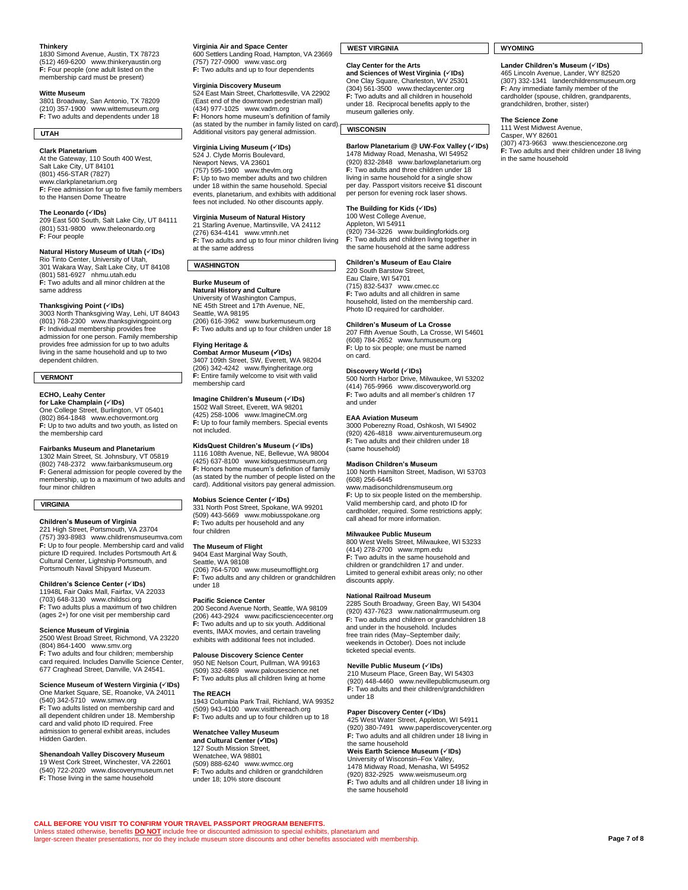# **Thinkery**

1830 Simond Avenue, Austin, TX 78723 (512) 469-6200 [www.thinkeryaustin.org](http://www.thinkeryaustin.org/) **F:** Four people (one adult listed on the membership card must be present)

#### **Witte Museum**

3801 Broadway, San Antonio, TX 78209 (210) 357-1900 [www.wittemuseum.org](http://www.wittemuseum.org/) **F:** Two adults and dependents under 18

#### **UTAH**

#### **Clark Planetarium**

At the Gateway, 110 South 400 West, Salt Lake City, UT 84101 (801) 456-STAR (7827) [www.clarkplanetarium.org](http://www.clarkplanetarium.org/) **F:** Free admission for up to five family members to the Hansen Dome Theatre

#### **The Leonardo (IDs)**

209 East 500 South, Salt Lake City, UT 84111 (801) 531-9800 [www.theleonardo.org](http://www.theleonardo.org/) **F:** Four people

#### **Natural History Museum of Utah (IDs)**

Rio Tinto Center, University of Utah, 301 Wakara Way, Salt Lake City, UT 84108 (801) 581-6927 [nhmu.utah.edu](http://nhmu.utah.edu/) **F:** Two adults and all minor children at the same address

#### **Thanksgiving Point (IDs)**

3003 North Thanksgiving Way, Lehi, UT 84043 (801) 768-2300 [www.thanksgivingpoint.org](http://www.thanksgivingpoint.org/) **F:** Individual membership provides free admission for one person. Family membership provides free admission for up to two adults living in the same household and up to two dependent children.

#### **VERMONT**

### **ECHO, Leahy Center**

**for Lake Champlain (IDs)** One College Street, Burlington, VT 05401 (802) 864-1848 [www.echovermont.org](http://www.echovermont.org/) **F:** Up to two adults and two youth, as listed on the membership card

#### **Fairbanks Museum and Planetarium**

1302 Main Street, St. Johnsbury, VT 05819 (802) 748-2372 [www.fairbanksmuseum.org](http://www.fairbanksmuseum.org/) **F:** General admission for people covered by the membership, up to a maximum of two adults and four minor children

#### **VIRGINIA**

**Children's Museum of Virginia** 221 High Street, Portsmouth, VA 23704

(757) 393-8983 [www.childrensmuseumva.com](http://www.childrensmuseumva.com/) **F:** Up to four people. Membership card and valid<br>picture ID required. Includes Portsmouth Art &<br>Cultural Center, Lightship Portsmouth, and<br>Portsmouth Naval Shipyard Museum.

**Children's Science Center (***×***1Ds)**<br>11948L Fair Oaks Mall, Fairfax, VA 22033<br>(703) 648-3130 [www.childsci.org](http://www.childsci.org/)<br>**F**: Two adults plus a maximum of two children (ages 2+) for one visit per membership card

**Science Museum of Virginia** 2500 West Broad Street, Richmond, VA 23220 (804) 864-1400 [www.smv.org](http://www.smv.org/) **F:** Two adults and four children; membership card required. Includes Danville Science Center, 677 Craghead Street, Danville, VA 24541.

#### **Science Museum of Western Virginia (IDs)** One Market Square, SE, Roanoke, VA 24011

(540) 342-5710 [www.smwv.org](http://www.smwv.org/) **F:** Two adults listed on membership card and all dependent children under 18. Membership card and valid photo ID required. Free admission to general exhibit areas, includes Hidden Garden.

#### **Shenandoah Valley Discovery Museum**

19 West Cork Street, Winchester, VA 22601 (540) 722-2020 [www.discoverymuseum.net](http://www.discoverymuseum.net/) **F:** Those living in the same household

# **Virginia Air and Space Center**

600 Settlers Landing Road, Hampton, VA 23669 (757) 727-0900 [www.vasc.org](http://www.vasc.org/) **F:** Two adults and up to four dependents

**Virginia Discovery Museum** 524 East Main Street, Charlottesville, VA 22902 (East end of the downtown pedestrian mall) (434) 977-1025 [www.vadm.org](http://www.vadm.org/) **F:** Honors home museum's definition of family (as stated by the number in family listed on card). Additional visitors pay general admission.

# **Virginia Living Museum (IDs)** 524 J. Clyde Morris Boulevard,

Newport News, VA 23601 (757) 595-1900 [www.thevlm.org](http://www.thevlm.org/) **F:** Up to two member adults and two children under 18 within the same household. Special events, planetarium, and exhibits with additional fees not included. No other discounts apply.

#### **Virginia Museum of Natural History**

21 Starling Avenue, Martinsville, VA 24112 (276) 634-4141 [www.vmnh.net](http://www.vmnh.net/) **F:** Two adults and up to four minor children living at the same address

#### **WASHINGTON**

**Burke Museum of Natural History and Culture** University of Washington Campus, NE 45th Street and 17th Avenue, NE, Seattle, WA 98195

(206) 616-3962 [www.burkemuseum.org](http://www.burkemuseum.org/) **F:** Two adults and up to four children under 18 **Flying Heritage &** 

**Combat Armor Museum (IDs)** 3407 109th Street, SW, Everett, WA 98204 (206) 342-4242 [www.flyingheritage.org](http://www.flyingheritage.org/) **F:** Entire family welcome to visit with valid membership card

#### **Imagine Children's Museum (IDs)** 1502 Wall Street, Everett, WA 98201

(425) 258-1006 [www.ImagineCM.org](http://www.imaginecm.org/) **F:** Up to four family members. Special events not included.

# **KidsQuest Children's Museum (IDs)**

1116 108th Avenue, NE, Bellevue, WA 98004 (425) 637-8100 [www.kidsquestmuseum.org](http://www.kidsquestmuseum.org/) **F:** Honors home museum's definition of family (as stated by the number of people listed on the card). Additional visitors pay general admission.

#### **Mobius Science Center (IDs)**

331 North Post Street, Spokane, WA 99201 (509) 443-5669 [www.mobiusspokane.org](http://www.mobiusspokane.org/) **F:** Two adults per household and any four children

#### **The Museum of Flight**

9404 East Marginal Way South, Seattle, WA 98108 (206) 764-5700 [www.museumofflight.org](http://www.museumofflight.org/) **F:** Two adults and any children or grandchildren under 18

#### **Pacific Science Center**

200 Second Avenue North, Seattle, WA 98109 (206) 443-2924 [www.pacificsciencecenter.org](http://www.pacificsciencecenter.org/) **F:** Two adults and up to six youth. Additional events, IMAX movies, and certain traveling exhibits with additional fees not included.

# **Palouse Discovery Science Center** 950 NE Nelson Court, Pullman, WA 99163

(509) 332-6869 www.palousescience.net **F:** Two adults plus all children living at home

#### **The REACH**

1943 Columbia Park Trail, Richland, WA 99352 (509) 943-4100 [www.visitthereach.org](http://www.visitthereach.org/) **F:** Two adults and up to four children up to 18

#### **Wenatchee Valley Museum and Cultural Center (IDs)**

127 South Mission Street, Wenatchee, WA 98801 (509) 888-6240 [www.wvmcc.org](http://www.wvmcc.org/) **F:** Two adults and children or grandchildren under 18; 10% store discount

# **WEST VIRGINIA**

#### **Clay Center for the Arts**

**and Sciences of West Virginia (IDs)** One Clay Square, Charleston, WV 25301 (304) 561-3500 [www.theclaycenter.org](http://www.theclaycenter.org/) **F:** Two adults and all children in household under 18. Reciprocal benefits apply to the museum galleries only.

#### **WISCONSIN**

**Barlow Planetarium @ UW-Fox Valley (IDs)** 1478 Midway Road, Menasha, WI 54952 (920) 832-2848 [www.barlowplanetarium.org](http://www.barlowplanetarium.org/) **F:** Two adults and three children under 18 living in same household for a single show per day. Passport visitors receive \$1 discount per any cateper number receive  $\downarrow$  and

### **The Building for Kids (IDs)**

100 West College Avenue, Appleton, WI 54911 (920) 734-3226 [www.buildingforkids.org](http://www.buildingforkids.org/) **F:** Two adults and children living together in the same household at the same address

#### **Children's Museum of Eau Claire** 220 South Barstow Street,

Eau Claire, WI 54701 (715) 832-5437 [www.cmec.cc](http://www.cmec.cc/) **F:** Two adults and all children in same household, listed on the membership card. Photo ID required for cardholder.

#### **Children's Museum of La Crosse**

207 Fifth Avenue South, La Crosse, WI 54601 (608) 784-2652 [www.funmuseum.org](http://www.funmuseum.org/) **F:** Up to six people; one must be named on card.

#### **Discovery World (IDs)**

500 North Harbor Drive, Milwaukee, WI 53202 (414) 765-9966 [www.discoveryworld.org](http://www.discoveryworld.org/) **F:** Two adults and all member's children 17 and under

#### **EAA Aviation Museum**

3000 Poberezny Road, Oshkosh, WI 54902 (920) 426-4818 [www.airventuremuseum.org](http://www.airventuremuseum.org/) **F:** Two adults and their children under 18 (same household)

**Madison Children's Museum** 100 North Hamilton Street, Madison, WI 53703 (608) 256-6445 [www.madisonchildrensmuseum.org](http://www.madisonchildrensmuseum.org/) **F:** Up to six people listed on the membership. Valid membership card, and photo ID for cardholder, required. Some restrictions apply; call ahead for more information.

#### **Milwaukee Public Museum**

800 West Wells Street, Milwaukee, WI 53233 (414) 278-2700 [www.mpm.edu](http://www.mpm.edu/) **F:** Two adults in the same household and children or grandchildren 17 and under. Limited to general exhibit areas only; no other discounts apply.

#### **National Railroad Museum**

2285 South Broadway, Green Bay, WI 54304 (920) 437-7623 [www.nationalrrmuseum.org](http://www.nationalrrmuseum.org/) **F:** Two adults and children or grandchildren 18 and under in the household. Includes free train rides (May–September daily; weekends in October). Does not include ticketed special events.

#### **Neville Public Museum (IDs)**

210 Museum Place, Green Bay, WI 54303 (920) 448-4460 [www.nevillepublicmuseum.org](http://www.nevillepublicmuseum.org/) **F:** Two adults and their children/grandchildren under 18

#### **Paper Discovery Center (IDs)**

425 West Water Street, Appleton, WI 54911 (920) 380-7491 [www.paperdiscoverycenter.org](http://www.paperdiscoverycenter.org/) **F:** Two adults and all children under 18 living in the same household **Weis Earth Science Museum (IDs)** University of Wisconsin–Fox Valley, 1478 Midway Road, Menasha, WI 54952 (920) 832-2925 [www.weismuseum.org](http://www.weismuseum.org/) **F:** Two adults and all children under 18 living in the same household

#### **WYOMING**

#### **Lander Children's Museum (IDs)** 465 Lincoln Avenue, Lander, WY 82520 (307) 332-1341 [landerchildrensmuseum.org](http://landerchildrensmuseum.org/) **F:** Any immediate family member of the cardholder (spouse, children, grandparents, grandchildren, brother, sister)

#### **The Science Zone**

111 West Midwest Avenue, Casper, WY 82601 (307) 473-9663 [www.thesciencezone.org](http://www.thesciencezone.org/) **F:** Two adults and their children under 18 living in the same household